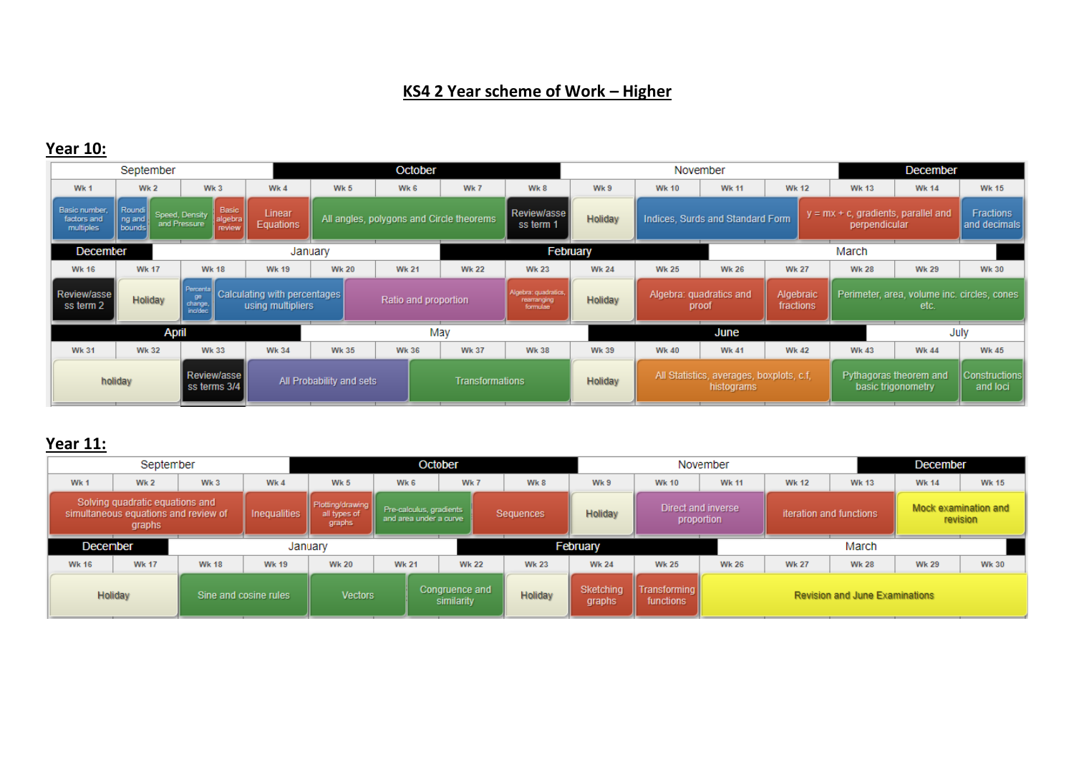### **KS4 2 Year scheme of Work – Higher**

### **Year 10:**

| September                                 |                                                                                                                                      |                                                              |                     |                                                 | October                                                               |                        |                          |                                                     |              | <b>December</b><br>November                            |              |  |                                                         |              |                                  |
|-------------------------------------------|--------------------------------------------------------------------------------------------------------------------------------------|--------------------------------------------------------------|---------------------|-------------------------------------------------|-----------------------------------------------------------------------|------------------------|--------------------------|-----------------------------------------------------|--------------|--------------------------------------------------------|--------------|--|---------------------------------------------------------|--------------|----------------------------------|
| Wk 1                                      | <b>Wk 2</b>                                                                                                                          | Wk3                                                          | Wk 4                | Wk 5                                            | Wk 6                                                                  | Wk 7                   | Wk 8                     | Wk 9                                                | <b>Wk 10</b> | <b>Wk 11</b>                                           | <b>Wk 12</b> |  | <b>Wk 13</b>                                            | <b>Wk 14</b> | <b>Wk 15</b>                     |
| Basic number,<br>factors and<br>multiples | Roundi<br>ng and<br>bounds                                                                                                           | Basic<br>Speed, Density<br>algebra<br>and Pressure<br>review | Linear<br>Equations |                                                 | All angles, polygons and Circle theorems                              |                        | Review/asse<br>ss term 1 | <b>Holiday</b>                                      |              | Indices, Surds and Standard Form                       |              |  | $y = mx + c$ , gradients, parallel and<br>perpendicular |              | <b>Fractions</b><br>and decimals |
| December                                  |                                                                                                                                      |                                                              |                     | January                                         |                                                                       |                        |                          | February                                            |              |                                                        |              |  | March                                                   |              |                                  |
| <b>Wk 16</b>                              | <b>Wk 17</b>                                                                                                                         | <b>Wk 18</b>                                                 | <b>Wk 19</b>        | <b>Wk 20</b>                                    | <b>Wk 21</b>                                                          | <b>Wk 22</b>           | <b>Wk 23</b>             | <b>Wk 24</b>                                        | <b>Wk 25</b> | <b>Wk 26</b>                                           | <b>Wk 27</b> |  | <b>Wk 28</b>                                            | <b>Wk 29</b> | <b>Wk 30</b>                     |
| Review/asse<br>ss term 2                  | <b>Percental</b><br>Calculating with percentages<br>ge<br>Holiday<br>Ratio and proportion<br>change.<br>using multipliers<br>incided |                                                              |                     | Algebra: quadratics,<br>rearranging<br>formulae | Algebra: quadratics and<br>Algebraic<br>Holiday<br>fractions<br>proof |                        |                          | Perimeter, area, volume inc. circles, cones<br>etc. |              |                                                        |              |  |                                                         |              |                                  |
|                                           | <b>April</b>                                                                                                                         |                                                              |                     |                                                 |                                                                       | May                    |                          |                                                     |              | <b>June</b>                                            |              |  |                                                         | July         |                                  |
| <b>Wk 31</b>                              | <b>Wk 32</b>                                                                                                                         | <b>Wk 33</b>                                                 | <b>Wk 34</b>        | <b>Wk 35</b>                                    | <b>Wk 36</b>                                                          | <b>Wk 37</b>           | <b>Wk 38</b>             | <b>Wk 39</b>                                        | <b>Wk 40</b> | <b>Wk 41</b>                                           | <b>Wk 42</b> |  | <b>Wk 43</b>                                            | <b>Wk 44</b> | <b>Wk 45</b>                     |
| holiday                                   |                                                                                                                                      | Review/asse<br>ss terms 3/4                                  |                     | All Probability and sets                        |                                                                       | <b>Transformations</b> |                          | <b>Holiday</b>                                      |              | All Statistics, averages, boxplots, c.f,<br>histograms |              |  | Pythagoras theorem and<br>basic trigonometry            |              | Constructions<br>and loci        |

## **Year 11:**

| September    |                                                                                   |                 |                       |                                            |                                                   | October                      |                |                     |                                  | November                         |              |                                       | December     |                                  |
|--------------|-----------------------------------------------------------------------------------|-----------------|-----------------------|--------------------------------------------|---------------------------------------------------|------------------------------|----------------|---------------------|----------------------------------|----------------------------------|--------------|---------------------------------------|--------------|----------------------------------|
| Wk 1         | Wk 2                                                                              | Wk <sub>3</sub> | Wk 4                  | Wk 5                                       | Wk 6                                              | Wk 7                         | Wk 8           | Wk 9                | <b>Wk 10</b>                     | <b>Wk 11</b>                     | <b>Wk 12</b> | <b>Wk 13</b>                          | <b>Wk 14</b> | <b>Wk 15</b>                     |
|              | Solving quadratic equations and<br>simultaneous equations and review of<br>graphs |                 | <b>Inequalities</b>   | Plotting/drawing<br>all types of<br>graphs | Pre-calculus, gradients<br>and area under a curve |                              | Sequences      | Holiday             |                                  | Direct and inverse<br>proportion |              | iteration and functions               |              | Mock examination and<br>revision |
| December     |                                                                                   |                 |                       | January                                    |                                                   |                              |                | February            |                                  |                                  |              | March                                 |              |                                  |
| <b>Wk 16</b> | <b>Wk 17</b>                                                                      | <b>Wk 18</b>    | <b>Wk 19</b>          | <b>Wk 20</b>                               | <b>Wk 21</b>                                      | <b>Wk 22</b>                 | <b>Wk 23</b>   | <b>Wk 24</b>        | <b>Wk 25</b>                     | <b>Wk 26</b>                     | <b>Wk 27</b> | <b>Wk 28</b>                          | <b>Wk 29</b> | <b>Wk 30</b>                     |
| Holiday      |                                                                                   |                 | Sine and cosine rules | <b>Vectors</b>                             |                                                   | Congruence and<br>similarity | <b>Holiday</b> | Sketching<br>graphs | <b>Transforming</b><br>functions |                                  |              | <b>Revision and June Examinations</b> |              |                                  |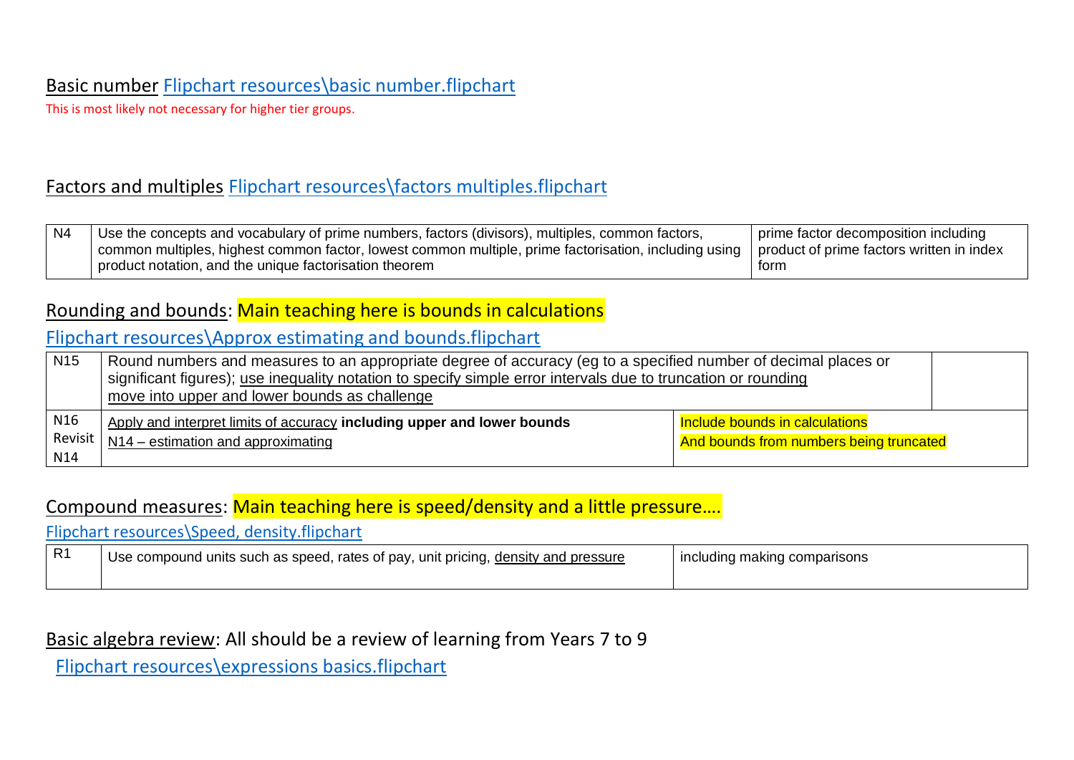### Basic number [Flipchart resources\basic number.flipchart](file://///jupiter/public/Maths/Teacher/KS4%20SOW%20Years%209,%2010%20and%2011/KS4%203%20year/Flipchart%20resources/basic%20number.flipchart)

This is most likely not necessary for higher tier groups.

### Factors and multiples [Flipchart resources\factors multiples.flipchart](file://///jupiter/public/Maths/Teacher/KS4%20SOW%20Years%209,%2010%20and%2011/KS4%203%20year/Flipchart%20resources/factors%20multiples.flipchart)

| N4 | Use the concepts and vocabulary of prime numbers, factors (divisors), multiples, common factors,                                                  | prime factor decomposition including |
|----|---------------------------------------------------------------------------------------------------------------------------------------------------|--------------------------------------|
|    | common multiples, highest common factor, lowest common multiple, prime factorisation, including using   product of prime factors written in index |                                      |
|    | product notation, and the unique factorisation theorem                                                                                            | torm                                 |

#### Rounding and bounds: Main teaching here is bounds in calculations

### [Flipchart resources\Approx estimating and bounds.flipchart](file://///jupiter/public/Maths/Teacher/KS4%20SOW%20Years%209,%2010%20and%2011/KS4%203%20year/Flipchart%20resources/Approx%20estimating%20and%20bounds.flipchart)

| N <sub>15</sub> | Round numbers and measures to an appropriate degree of accuracy (eg to a specified number of decimal places or<br>significant figures); use inequality notation to specify simple error intervals due to truncation or rounding<br>move into upper and lower bounds as challenge |                                |  |  |  |
|-----------------|----------------------------------------------------------------------------------------------------------------------------------------------------------------------------------------------------------------------------------------------------------------------------------|--------------------------------|--|--|--|
|                 |                                                                                                                                                                                                                                                                                  |                                |  |  |  |
| N <sub>16</sub> | Apply and interpret limits of accuracy including upper and lower bounds                                                                                                                                                                                                          | Include bounds in calculations |  |  |  |
| Revisit         | And bounds from numbers being truncated<br>$N14$ – estimation and approximating                                                                                                                                                                                                  |                                |  |  |  |
| N14             |                                                                                                                                                                                                                                                                                  |                                |  |  |  |

#### Compound measures: Main teaching here is speed/density and a little pressure….

[Flipchart resources\Speed, density.flipchart](file://///jupiter/public/Maths/Teacher/KS4%20SOW%20Years%209,%2010%20and%2011/KS4%203%20year/Flipchart%20resources/Speed,%20density.flipchart)

| R <sub>1</sub> | Use compound units such as speed, rates of pay, unit pricing, density and pressure | l including making comparisons |
|----------------|------------------------------------------------------------------------------------|--------------------------------|
|                |                                                                                    |                                |

### Basic algebra review: All should be a review of learning from Years 7 to 9

[Flipchart resources\expressions basics.flipchart](file://///jupiter/public/Maths/Teacher/KS4%20SOW%20Years%209,%2010%20and%2011/KS4%203%20year/Flipchart%20resources/expressions%20basics.flipchart)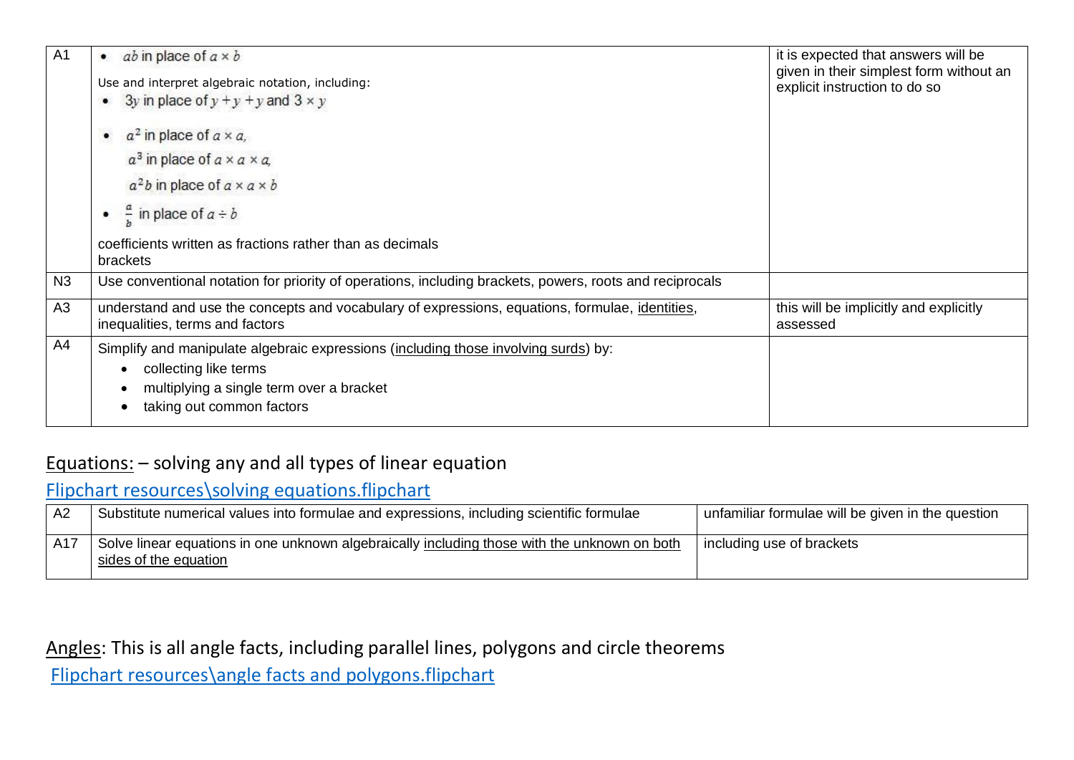| A <sub>1</sub> | <i>ab</i> in place of $a \times b$<br>٠                                                                                            | it is expected that answers will be<br>given in their simplest form without an |
|----------------|------------------------------------------------------------------------------------------------------------------------------------|--------------------------------------------------------------------------------|
|                | Use and interpret algebraic notation, including:                                                                                   | explicit instruction to do so                                                  |
|                | 3y in place of $y + y + y$ and $3 \times y$<br>$\bullet$                                                                           |                                                                                |
|                | $a^2$ in place of $a \times a$ ,<br>$\bullet$                                                                                      |                                                                                |
|                | $a^3$ in place of $a \times a \times a$ ,                                                                                          |                                                                                |
|                | $a2b$ in place of $a \times a \times b$                                                                                            |                                                                                |
|                | $\frac{a}{b}$ in place of $a \div b$<br>٠                                                                                          |                                                                                |
|                | coefficients written as fractions rather than as decimals<br>brackets                                                              |                                                                                |
| N3             | Use conventional notation for priority of operations, including brackets, powers, roots and reciprocals                            |                                                                                |
| A3             | understand and use the concepts and vocabulary of expressions, equations, formulae, identities,<br>inequalities, terms and factors | this will be implicitly and explicitly<br>assessed                             |
| A4             | Simplify and manipulate algebraic expressions (including those involving surds) by:                                                |                                                                                |
|                | collecting like terms                                                                                                              |                                                                                |
|                | multiplying a single term over a bracket                                                                                           |                                                                                |
|                | taking out common factors                                                                                                          |                                                                                |

### Equations: – solving any and all types of linear equation

## [Flipchart resources\solving equations.flipchart](file://///jupiter/public/Maths/Teacher/KS4%20SOW%20Years%209,%2010%20and%2011/KS4%203%20year/Flipchart%20resources/solving%20equations.flipchart)

| Substitute numerical values into formulae and expressions, including scientific formulae                              | unfamiliar formulae will be given in the question |
|-----------------------------------------------------------------------------------------------------------------------|---------------------------------------------------|
| Solve linear equations in one unknown algebraically including those with the unknown on both<br>sides of the equation | I including use of brackets                       |

Angles: This is all angle facts, including parallel lines, polygons and circle theorems

[Flipchart resources\angle facts and polygons.flipchart](file://///jupiter/public/Maths/Teacher/KS4%20SOW%20Years%209,%2010%20and%2011/KS4%203%20year/Flipchart%20resources/angle%20facts%20and%20polygons.flipchart)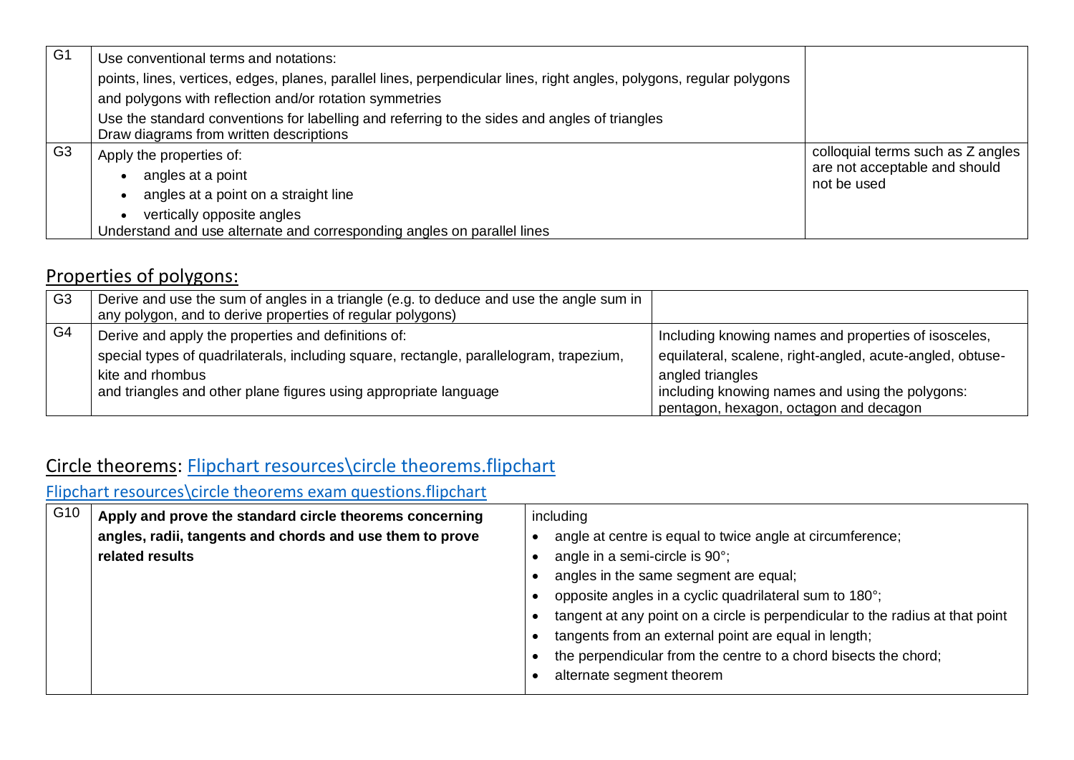| G1             | Use conventional terms and notations:                                                                                                                                            |                                                                                   |
|----------------|----------------------------------------------------------------------------------------------------------------------------------------------------------------------------------|-----------------------------------------------------------------------------------|
|                | points, lines, vertices, edges, planes, parallel lines, perpendicular lines, right angles, polygons, regular polygons<br>and polygons with reflection and/or rotation symmetries |                                                                                   |
|                | Use the standard conventions for labelling and referring to the sides and angles of triangles<br>Draw diagrams from written descriptions                                         |                                                                                   |
| G <sub>3</sub> | Apply the properties of:<br>angles at a point<br>angles at a point on a straight line                                                                                            | colloquial terms such as Z angles<br>are not acceptable and should<br>not be used |
|                | vertically opposite angles<br>Understand and use alternate and corresponding angles on parallel lines                                                                            |                                                                                   |

## Properties of polygons:

| G <sub>3</sub> | Derive and use the sum of angles in a triangle (e.g. to deduce and use the angle sum in<br>any polygon, and to derive properties of regular polygons) |                                                           |
|----------------|-------------------------------------------------------------------------------------------------------------------------------------------------------|-----------------------------------------------------------|
| G <sub>4</sub> | Derive and apply the properties and definitions of:                                                                                                   | Including knowing names and properties of isosceles,      |
|                | special types of quadrilaterals, including square, rectangle, parallelogram, trapezium,                                                               | equilateral, scalene, right-angled, acute-angled, obtuse- |
|                | kite and rhombus                                                                                                                                      | angled triangles                                          |
|                | and triangles and other plane figures using appropriate language                                                                                      | including knowing names and using the polygons:           |
|                |                                                                                                                                                       | pentagon, hexagon, octagon and decagon                    |

# Circle theorems: [Flipchart resources\circle theorems.flipchart](file://///jupiter/public/Maths/Teacher/KS4%20SOW%20Years%209,%2010%20and%2011/KS4%203%20year/Flipchart%20resources/circle%20theorems.flipchart)

[Flipchart resources\circle theorems exam questions.flipchart](file://///jupiter/public/Maths/Teacher/KS4%20SOW%20Years%209,%2010%20and%2011/KS4%203%20year/Flipchart%20resources/circle%20theorems%20exam%20questions.flipchart)

| G10 | Apply and prove the standard circle theorems concerning  | including                                                                     |
|-----|----------------------------------------------------------|-------------------------------------------------------------------------------|
|     | angles, radii, tangents and chords and use them to prove | angle at centre is equal to twice angle at circumference;                     |
|     | related results                                          | angle in a semi-circle is 90°;                                                |
|     |                                                          | angles in the same segment are equal;                                         |
|     |                                                          | opposite angles in a cyclic quadrilateral sum to 180°;                        |
|     |                                                          | tangent at any point on a circle is perpendicular to the radius at that point |
|     |                                                          | tangents from an external point are equal in length;                          |
|     |                                                          | the perpendicular from the centre to a chord bisects the chord;               |
|     |                                                          | alternate segment theorem                                                     |
|     |                                                          |                                                                               |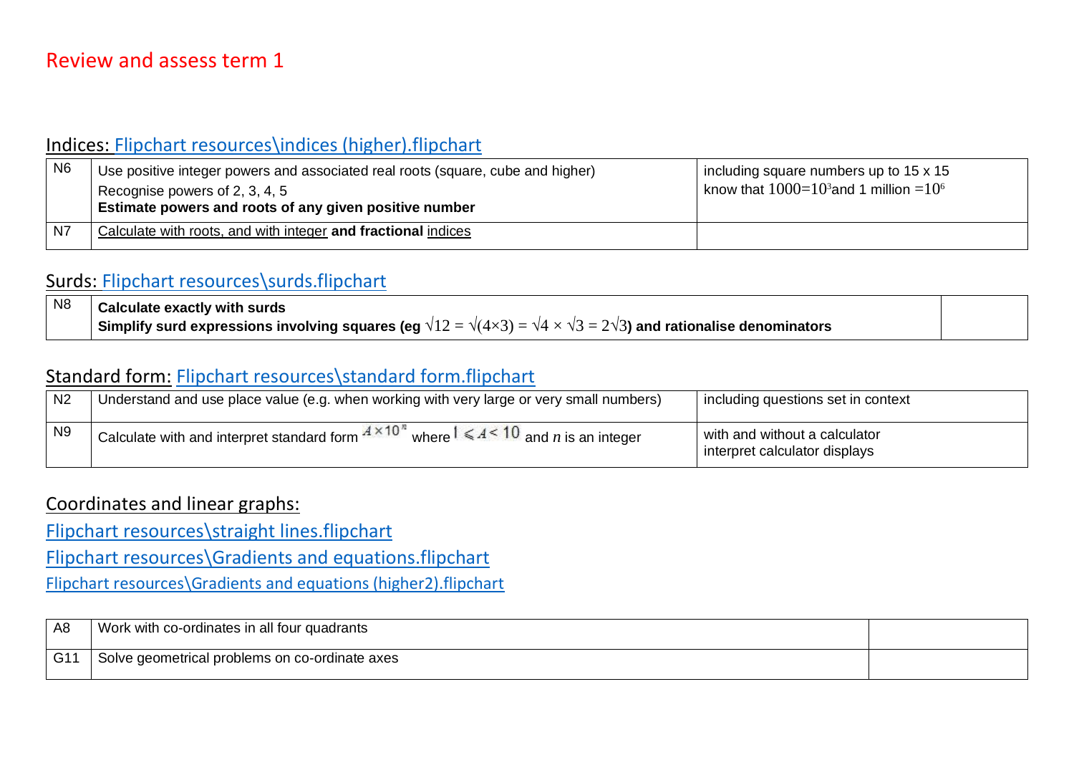### Indices: [Flipchart resources\indices \(higher\).flipchart](file://///jupiter/public/Maths/Teacher/KS4%20SOW%20Years%209,%2010%20and%2011/KS4%203%20year/Flipchart%20resources/indices%20(higher).flipchart)

| N <sub>6</sub> | Use positive integer powers and associated real roots (square, cube and higher) | including square numbers up to 15 x 15      |
|----------------|---------------------------------------------------------------------------------|---------------------------------------------|
|                | Recognise powers of 2, 3, 4, 5                                                  | know that $1000=10^3$ and 1 million $=10^6$ |
|                | <b>Estimate powers and roots of any given positive number</b>                   |                                             |
| N7             | Calculate with roots, and with integer and fractional indices                   |                                             |

### Surds: [Flipchart resources\surds.flipchart](file://///jupiter/public/Maths/Teacher/KS4%20SOW%20Years%209,%2010%20and%2011/KS4%203%20year/Flipchart%20resources/surds.flipchart)

| $\overline{\phantom{1}}$ N8 | <b>Calculate exactly with surds</b>                                                                                                           |  |
|-----------------------------|-----------------------------------------------------------------------------------------------------------------------------------------------|--|
|                             | Simplify surd expressions involving squares (eg $\sqrt{12}=\sqrt{(4\times3)}=\sqrt{4}\times\sqrt{3}=2\sqrt{3}$ ) and rationalise denominators |  |

### Standard form: [Flipchart resources\standard form.flipchart](file://///jupiter/public/Maths/Teacher/KS4%20SOW%20Years%209,%2010%20and%2011/KS4%203%20year/Flipchart%20resources/standard%20form.flipchart)

| N <sub>2</sub> | Understand and use place value (e.g. when working with very large or very small numbers)                                                      | including questions set in context                             |
|----------------|-----------------------------------------------------------------------------------------------------------------------------------------------|----------------------------------------------------------------|
| N <sub>9</sub> | $\mathbb{R}$   Calculate with and interpret standard form $A \times 10^{n}$ when.<br>where $1 \leqslant A \leq 10$ and <i>n</i> is an integer | with and without a calculator<br>interpret calculator displays |

#### Coordinates and linear graphs:

[Flipchart resources\straight lines.flipchart](file://///jupiter/public/Maths/Teacher/KS4%20SOW%20Years%209,%2010%20and%2011/KS4%203%20year/Flipchart%20resources/straight%20lines.flipchart)

[Flipchart resources\Gradients and equations.flipchart](file://///jupiter/public/Maths/Teacher/KS4%20SOW%20Years%209,%2010%20and%2011/KS4%203%20year/Flipchart%20resources/Gradients%20and%20equations.flipchart)

[Flipchart resources\Gradients and equations \(higher2\).flipchart](file://///jupiter/public/Maths/Teacher/KS4%20SOW%20Years%209,%2010%20and%2011/KS4%203%20year/Flipchart%20resources/Gradients%20and%20equations%20(higher2).flipchart)

| A <sub>8</sub> | Work with co-ordinates in all four quadrants   |  |
|----------------|------------------------------------------------|--|
| G11            | Solve geometrical problems on co-ordinate axes |  |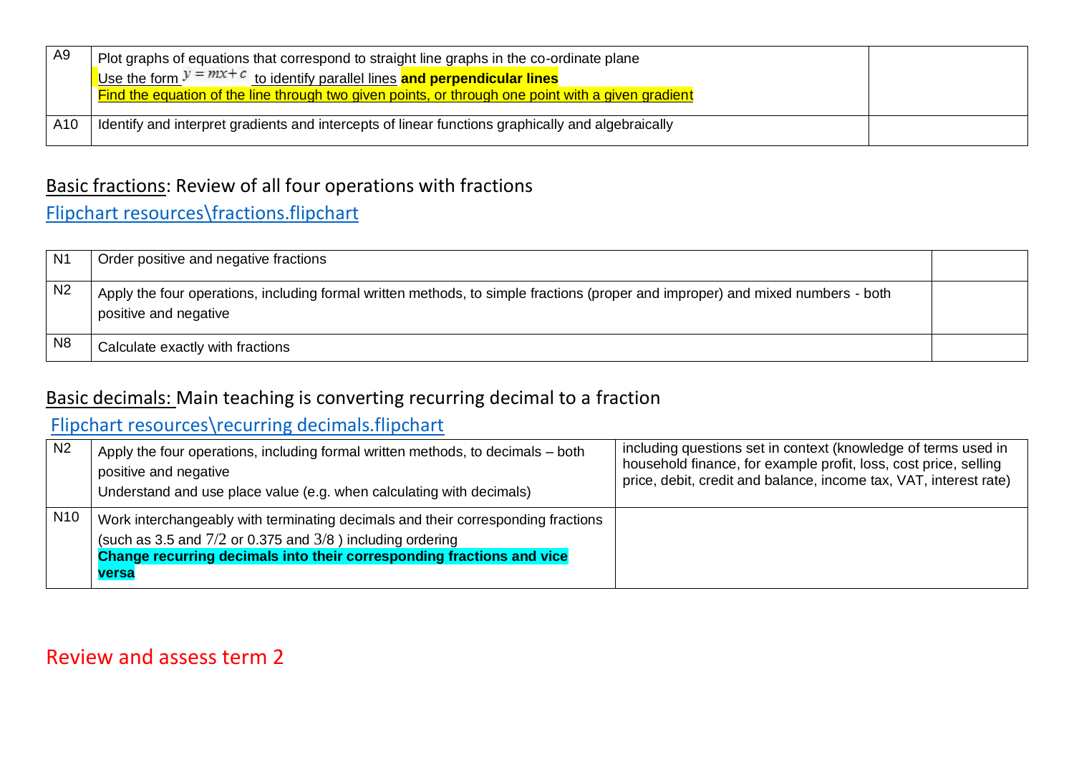| A9  | Plot graphs of equations that correspond to straight line graphs in the co-ordinate plane<br>Use the form $y = mx + c$ to identify parallel lines and perpendicular lines<br>Find the equation of the line through two given points, or through one point with a given gradient |  |
|-----|---------------------------------------------------------------------------------------------------------------------------------------------------------------------------------------------------------------------------------------------------------------------------------|--|
| A10 | Identify and interpret gradients and intercepts of linear functions graphically and algebraically                                                                                                                                                                               |  |

### Basic fractions: Review of all four operations with fractions

[Flipchart resources\fractions.flipchart](file://///jupiter/public/Maths/Teacher/KS4%20SOW%20Years%209,%2010%20and%2011/KS4%203%20year/Flipchart%20resources/fractions.flipchart)

| N1             | Order positive and negative fractions                                                                                                                    |  |
|----------------|----------------------------------------------------------------------------------------------------------------------------------------------------------|--|
| N <sub>2</sub> | Apply the four operations, including formal written methods, to simple fractions (proper and improper) and mixed numbers - both<br>positive and negative |  |
| N <sub>8</sub> | Calculate exactly with fractions                                                                                                                         |  |

## Basic decimals: Main teaching is converting recurring decimal to a fraction

## [Flipchart resources\recurring decimals.flipchart](file://///jupiter/public/Maths/Teacher/KS4%20SOW%20Years%209,%2010%20and%2011/KS4%203%20year/Flipchart%20resources/recurring%20decimals.flipchart)

| N <sub>2</sub>  | Apply the four operations, including formal written methods, to decimals – both<br>positive and negative<br>Understand and use place value (e.g. when calculating with decimals)                                                     | including questions set in context (knowledge of terms used in<br>household finance, for example profit, loss, cost price, selling<br>price, debit, credit and balance, income tax, VAT, interest rate) |
|-----------------|--------------------------------------------------------------------------------------------------------------------------------------------------------------------------------------------------------------------------------------|---------------------------------------------------------------------------------------------------------------------------------------------------------------------------------------------------------|
| N <sub>10</sub> | Work interchangeably with terminating decimals and their corresponding fractions<br>(such as 3.5 and $7/2$ or 0.375 and $3/8$ ) including ordering<br>Change recurring decimals into their corresponding fractions and vice<br>versa |                                                                                                                                                                                                         |

## Review and assess term 2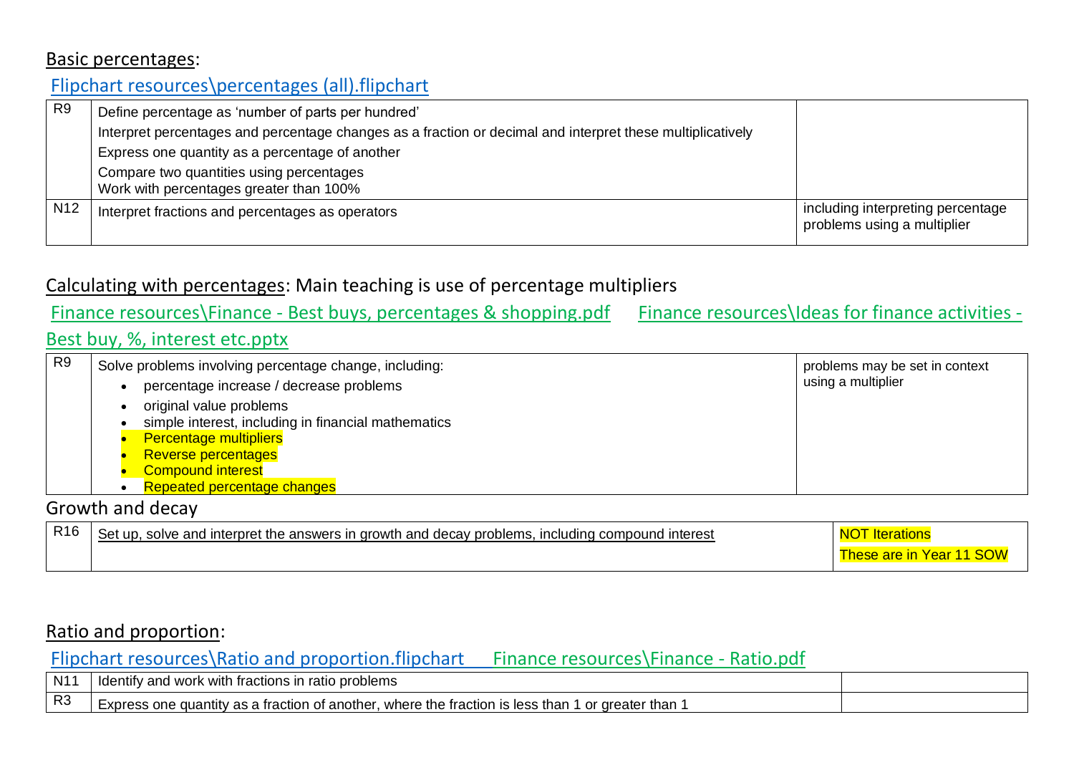#### Basic percentages:

## [Flipchart resources\percentages \(all\).flipchart](file://///jupiter/public/Maths/Teacher/KS4%20SOW%20Years%209,%2010%20and%2011/KS4%203%20year/Flipchart%20resources/percentages%20(all).flipchart)

| R <sub>9</sub>  | Define percentage as 'number of parts per hundred'                                                         |                                                                  |
|-----------------|------------------------------------------------------------------------------------------------------------|------------------------------------------------------------------|
|                 | Interpret percentages and percentage changes as a fraction or decimal and interpret these multiplicatively |                                                                  |
|                 | Express one quantity as a percentage of another                                                            |                                                                  |
|                 | Compare two quantities using percentages<br>Work with percentages greater than 100%                        |                                                                  |
| N <sub>12</sub> | Interpret fractions and percentages as operators                                                           | including interpreting percentage<br>problems using a multiplier |

### Calculating with percentages: Main teaching is use of percentage multipliers

### Finance resources\Finance - [Best buys, percentages & shopping.pdf](file://///jupiter/public/Maths/Teacher/KS4%20SOW%20Years%209,%2010%20and%2011/KS4%203%20year/Finance%20resources/Finance%20-%20Best%20buys,%20percentages%20&%20shopping.pdf) [Finance resources\Ideas for finance activities -](file://///jupiter/public/Maths/Teacher/KS4%20SOW%20Years%209,%2010%20and%2011/KS4%203%20year/Finance%20resources/Ideas%20for%20finance%20activities%20-%20Best%20buy,%20%25,%20interest%20etc.pptx)

#### [Best buy, %, interest etc.pptx](file://///jupiter/public/Maths/Teacher/KS4%20SOW%20Years%209,%2010%20and%2011/KS4%203%20year/Finance%20resources/Ideas%20for%20finance%20activities%20-%20Best%20buy,%20%25,%20interest%20etc.pptx)

| R <sub>9</sub> | Solve problems involving percentage change, including:<br>percentage increase / decrease problems                                                                                                        | problems may be set in context<br>using a multiplier |
|----------------|----------------------------------------------------------------------------------------------------------------------------------------------------------------------------------------------------------|------------------------------------------------------|
|                | original value problems<br>simple interest, including in financial mathematics<br><b>Percentage multipliers</b><br><b>Reverse percentages</b><br><b>Compound interest</b><br>Repeated percentage changes |                                                      |

#### Growth and decay

| R <sub>16</sub> | I interpret the answers in growth and decav problems.<br>. including compound interest<br>solve and<br>Set up. |                              |
|-----------------|----------------------------------------------------------------------------------------------------------------|------------------------------|
|                 |                                                                                                                | Year<br>are<br>$\sim$<br>ouv |

### Ratio and proportion:

#### [Flipchart resources\Ratio and proportion.flipchart](file://///jupiter/public/Maths/Teacher/KS4%20SOW%20Years%209,%2010%20and%2011/KS4%203%20year/Flipchart%20resources/Ratio%20and%20proportion.flipchart) [Finance resources\Finance -](file://///jupiter/public/Maths/Teacher/KS4%20SOW%20Years%209,%2010%20and%2011/KS4%203%20year/Finance%20resources/Finance%20-%20Ratio.pdf) Ratio.pdf

| N1'            | problems<br>v and work with fractions i<br>ratio<br>Tdentify                                                                   |  |
|----------------|--------------------------------------------------------------------------------------------------------------------------------|--|
| R <sub>3</sub> | where the fraction<br>'or greater than<br><b>IS less</b><br>than<br>ı of another<br>v as a traction<br>quantity<br>≘xpress one |  |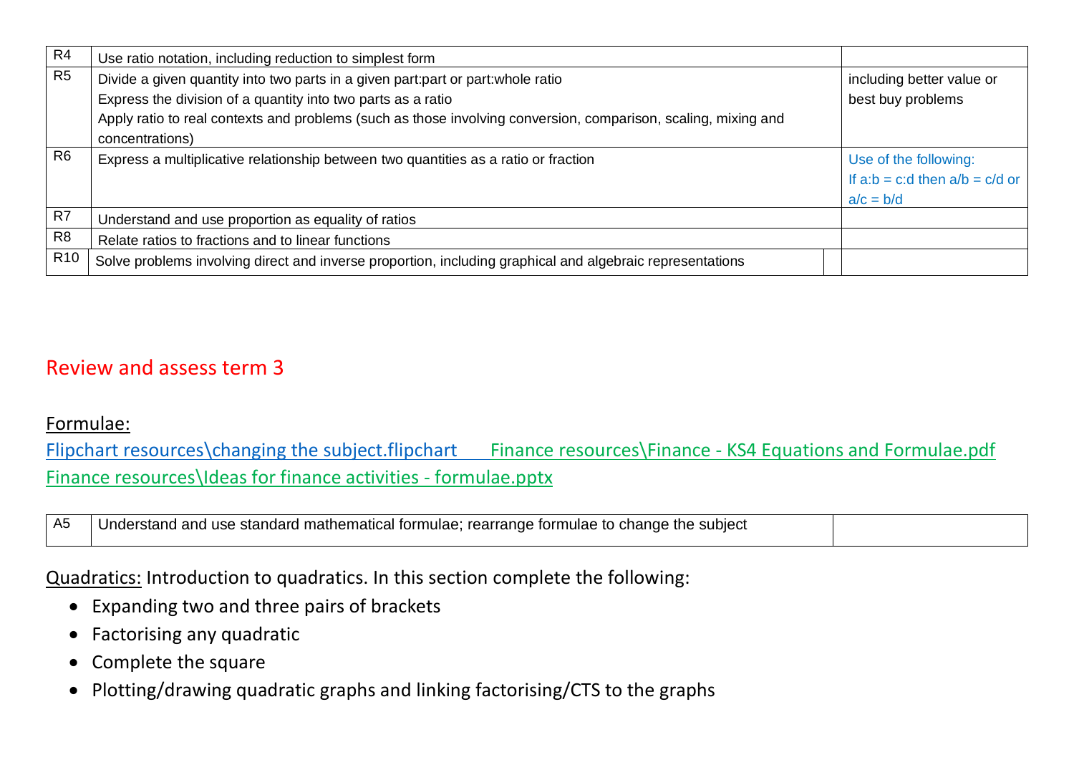| R4              | Use ratio notation, including reduction to simplest form                                                       |                                    |
|-----------------|----------------------------------------------------------------------------------------------------------------|------------------------------------|
| R <sub>5</sub>  | Divide a given quantity into two parts in a given part: part or part: whole ratio                              | including better value or          |
|                 | Express the division of a quantity into two parts as a ratio                                                   | best buy problems                  |
|                 | Apply ratio to real contexts and problems (such as those involving conversion, comparison, scaling, mixing and |                                    |
|                 | concentrations)                                                                                                |                                    |
| R <sub>6</sub>  | Express a multiplicative relationship between two quantities as a ratio or fraction                            | Use of the following:              |
|                 |                                                                                                                | If $a:b = c:d$ then $a/b = c/d$ or |
|                 |                                                                                                                | $a/c = b/d$                        |
| R <sub>7</sub>  | Understand and use proportion as equality of ratios                                                            |                                    |
| R <sub>8</sub>  | Relate ratios to fractions and to linear functions                                                             |                                    |
| R <sub>10</sub> | Solve problems involving direct and inverse proportion, including graphical and algebraic representations      |                                    |

## Review and assess term 3

#### Formulae:

[Flipchart resources\changing the subject.flipchart](file://///jupiter/public/Maths/Teacher/KS4%20SOW%20Years%209,%2010%20and%2011/KS4%203%20year/Flipchart%20resources/changing%20the%20subject.flipchart) Finance resources\Finance - KS4 Equations and Formulae.pdf [Finance resources\Ideas for finance activities -](file://///jupiter/public/Maths/Teacher/KS4%20SOW%20Years%209,%2010%20and%2011/KS4%203%20year/Finance%20resources/Ideas%20for%20finance%20activities%20-%20formulae.pptx) formulae.pptx

| A5 | Understand and use standard mathematical formulae; rearrange formulae to change the subject |  |
|----|---------------------------------------------------------------------------------------------|--|
|    |                                                                                             |  |

Quadratics: Introduction to quadratics. In this section complete the following:

- Expanding two and three pairs of brackets
- Factorising any quadratic
- Complete the square
- Plotting/drawing quadratic graphs and linking factorising/CTS to the graphs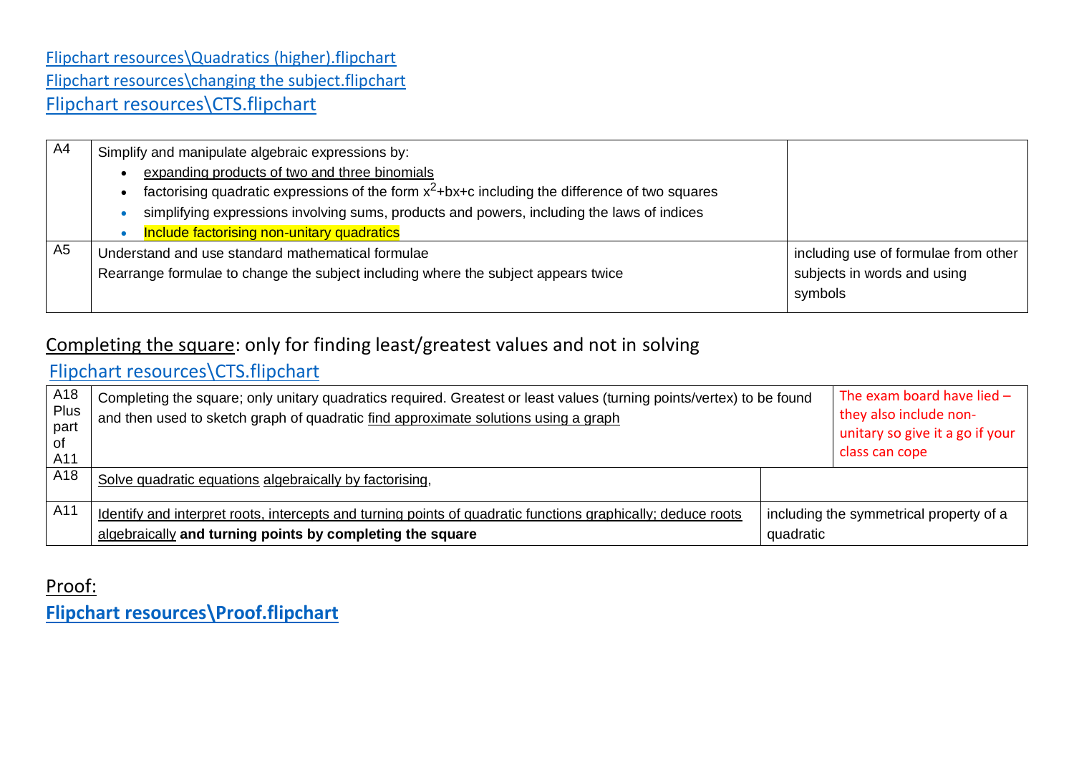### [Flipchart resources\Quadratics \(higher\).flipchart](file://///jupiter/public/Maths/Teacher/KS4%20SOW%20Years%209,%2010%20and%2011/KS4%203%20year/Flipchart%20resources/Quadratics%20(higher).flipchart) [Flipchart resources\changing the subject.flipchart](file://///jupiter/public/Maths/Teacher/KS4%20SOW%20Years%209,%2010%20and%2011/KS4%203%20year/Flipchart%20resources/changing%20the%20subject.flipchart) [Flipchart resources\CTS.flipchart](file://///jupiter/public/Maths/Teacher/KS4%20SOW%20Years%209,%2010%20and%2011/KS4%203%20year/Flipchart%20resources/CTS.flipchart)

| A4             | Simplify and manipulate algebraic expressions by:                                                 |                                      |
|----------------|---------------------------------------------------------------------------------------------------|--------------------------------------|
|                | expanding products of two and three binomials                                                     |                                      |
|                | factorising quadratic expressions of the form $x^2$ +bx+c including the difference of two squares |                                      |
|                | simplifying expressions involving sums, products and powers, including the laws of indices        |                                      |
|                | Include factorising non-unitary quadratics                                                        |                                      |
| A <sub>5</sub> | Understand and use standard mathematical formulae                                                 | including use of formulae from other |
|                | Rearrange formulae to change the subject including where the subject appears twice                | subjects in words and using          |
|                |                                                                                                   | symbols                              |
|                |                                                                                                   |                                      |

## Completing the square: only for finding least/greatest values and not in solving

## [Flipchart resources\CTS.flipchart](file://///jupiter/public/Maths/Teacher/KS4%20SOW%20Years%209,%2010%20and%2011/KS4%203%20year/Flipchart%20resources/CTS.flipchart)

| A18<br>Plus<br>part<br>оf<br>A11 | Completing the square; only unitary quadratics required. Greatest or least values (turning points/vertex) to be found<br>and then used to sketch graph of quadratic find approximate solutions using a graph |           | The exam board have lied $-$<br>they also include non-<br>unitary so give it a go if your<br>class can cope |
|----------------------------------|--------------------------------------------------------------------------------------------------------------------------------------------------------------------------------------------------------------|-----------|-------------------------------------------------------------------------------------------------------------|
| A18                              | Solve quadratic equations algebraically by factorising,                                                                                                                                                      |           |                                                                                                             |
| A11                              | Identify and interpret roots, intercepts and turning points of quadratic functions graphically; deduce roots<br>algebraically and turning points by completing the square                                    | quadratic | including the symmetrical property of a                                                                     |

## Proof: **[Flipchart resources\Proof.flipchart](file://///jupiter/public/Maths/Teacher/KS4%20SOW%20Years%209,%2010%20and%2011/KS4%203%20year/Flipchart%20resources/Proof.flipchart)**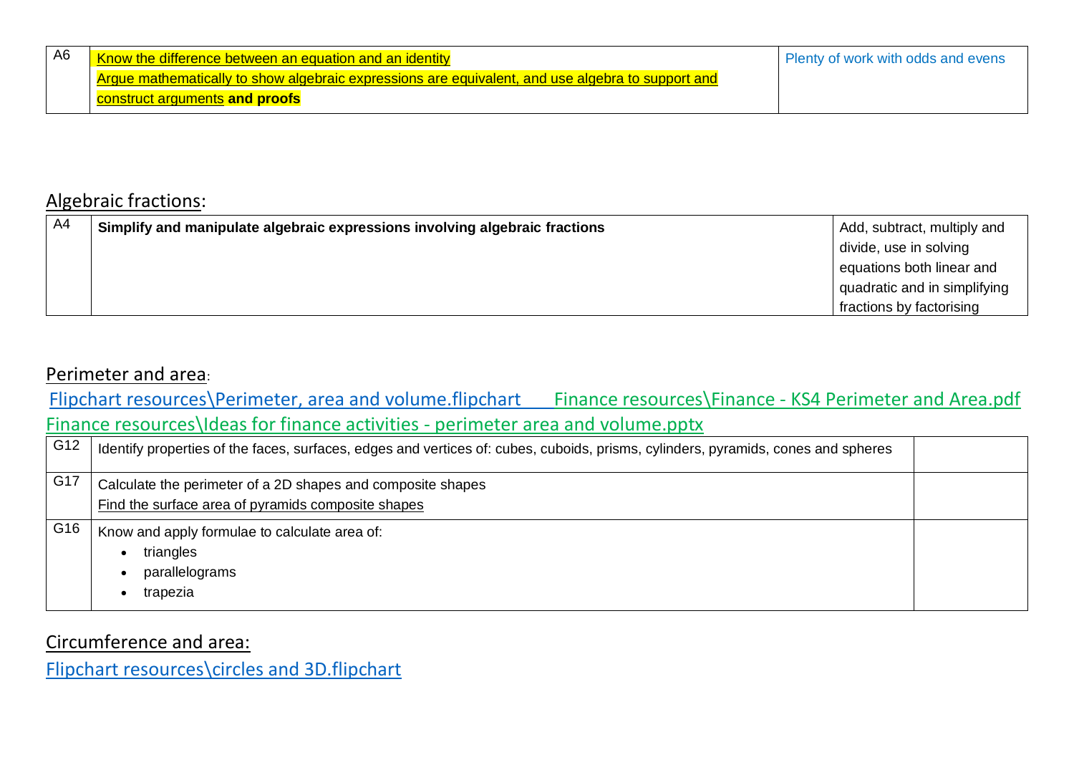| A6 | Know the difference between an equation and an identity                                           | Plenty of work with odds and evens |
|----|---------------------------------------------------------------------------------------------------|------------------------------------|
|    | Argue mathematically to show algebraic expressions are equivalent, and use algebra to support and |                                    |
|    | construct arguments and proofs                                                                    |                                    |

### Algebraic fractions:

| AA | Simplify and manipulate algebraic expressions involving algebraic fractions | Add, subtract, multiply and  |
|----|-----------------------------------------------------------------------------|------------------------------|
|    |                                                                             | divide, use in solving       |
|    |                                                                             | equations both linear and    |
|    |                                                                             | quadratic and in simplifying |
|    |                                                                             | fractions by factorising     |

#### Perimeter and area:

[Flipchart resources\Perimeter, area and volume.flipchart](file://///jupiter/public/Maths/Teacher/KS4%20SOW%20Years%209,%2010%20and%2011/KS4%203%20year/Flipchart%20resources/Perimeter,%20area%20and%20volume.flipchart) [Finance resources\Finance -](file://///jupiter/public/Maths/Teacher/KS4%20SOW%20Years%209,%2010%20and%2011/KS4%203%20year/Finance%20resources/Finance%20-%20KS4%20Perimeter%20and%20Area.pdf) KS4 Perimeter and Area.pdf [Finance resources\Ideas for finance activities -](file://///jupiter/public/Maths/Teacher/KS4%20SOW%20Years%209,%2010%20and%2011/KS4%203%20year/Finance%20resources/Ideas%20for%20finance%20activities%20-%20perimeter%20area%20and%20volume.pptx) perimeter area and volume.pptx

| G12 | Identify properties of the faces, surfaces, edges and vertices of: cubes, cuboids, prisms, cylinders, pyramids, cones and spheres |  |
|-----|-----------------------------------------------------------------------------------------------------------------------------------|--|
| G17 | Calculate the perimeter of a 2D shapes and composite shapes<br>Find the surface area of pyramids composite shapes                 |  |
| G16 | Know and apply formulae to calculate area of:<br>triangles<br>parallelograms<br>trapezia                                          |  |

Circumference and area:

[Flipchart resources\circles and 3D.flipchart](file://///jupiter/public/Maths/Teacher/KS4%20SOW%20Years%209,%2010%20and%2011/KS4%203%20year/Flipchart%20resources/circles%20and%203D.flipchart)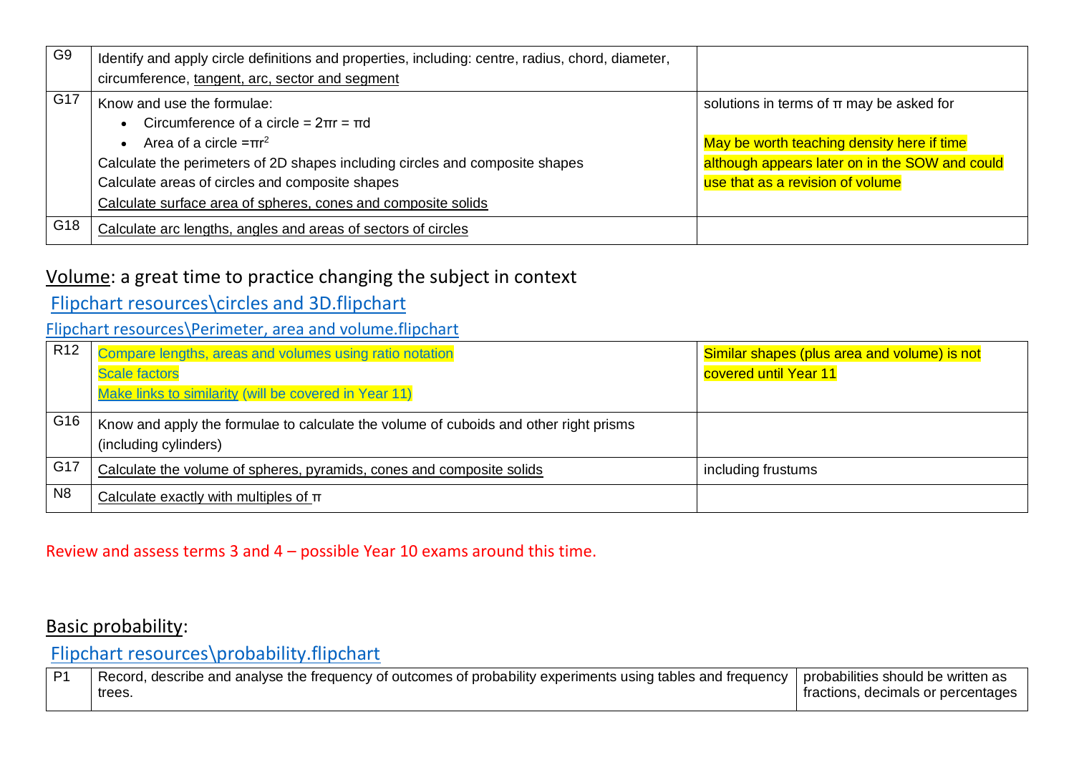| G <sub>9</sub> | Identify and apply circle definitions and properties, including: centre, radius, chord, diameter,<br>circumference, tangent, arc, sector and segment                                                                                                                                                             |                                                                                                                                                                                  |
|----------------|------------------------------------------------------------------------------------------------------------------------------------------------------------------------------------------------------------------------------------------------------------------------------------------------------------------|----------------------------------------------------------------------------------------------------------------------------------------------------------------------------------|
| G17            | Know and use the formulae:<br>Circumference of a circle = $2\pi r = \pi d$<br>Area of a circle $=$ $\pi r^2$<br>Calculate the perimeters of 2D shapes including circles and composite shapes<br>Calculate areas of circles and composite shapes<br>Calculate surface area of spheres, cones and composite solids | solutions in terms of $\pi$ may be asked for<br>May be worth teaching density here if time<br>although appears later on in the SOW and could<br>use that as a revision of volume |
| G18            | Calculate arc lengths, angles and areas of sectors of circles                                                                                                                                                                                                                                                    |                                                                                                                                                                                  |

### Volume: a great time to practice changing the subject in context

### [Flipchart resources\circles and 3D.flipchart](file://///jupiter/public/Maths/Teacher/KS4%20SOW%20Years%209,%2010%20and%2011/KS4%203%20year/Flipchart%20resources/circles%20and%203D.flipchart)

#### [Flipchart resources\Perimeter, area and volume.flipchart](file://///jupiter/public/Maths/Teacher/KS4%20SOW%20Years%209,%2010%20and%2011/KS4%203%20year/Flipchart%20resources/Perimeter,%20area%20and%20volume.flipchart)

| R <sub>12</sub> | Compare lengths, areas and volumes using ratio notation                                                        | Similar shapes (plus area and volume) is not |
|-----------------|----------------------------------------------------------------------------------------------------------------|----------------------------------------------|
|                 | <b>Scale factors</b>                                                                                           | covered until Year 11                        |
|                 | Make links to similarity (will be covered in Year 11)                                                          |                                              |
| $\mid$ G16      | Know and apply the formulae to calculate the volume of cuboids and other right prisms<br>(including cylinders) |                                              |
| G17             | Calculate the volume of spheres, pyramids, cones and composite solids                                          | including frustums                           |
| N8              | Calculate exactly with multiples of $\pi$                                                                      |                                              |

#### Review and assess terms 3 and 4 – possible Year 10 exams around this time.

### Basic probability:

[Flipchart resources\probability.flipchart](file://///jupiter/public/Maths/Teacher/KS4%20SOW%20Years%209,%2010%20and%2011/KS4%203%20year/Flipchart%20resources/probability.flipchart)

| P <sub>1</sub> | ., describe and analyse the frequency of outcomes of probability experiments using tables and frequency $\,$<br>Record. | l probabilities should be written as |
|----------------|-------------------------------------------------------------------------------------------------------------------------|--------------------------------------|
|                | trees.                                                                                                                  | fractions, decimals or percentages   |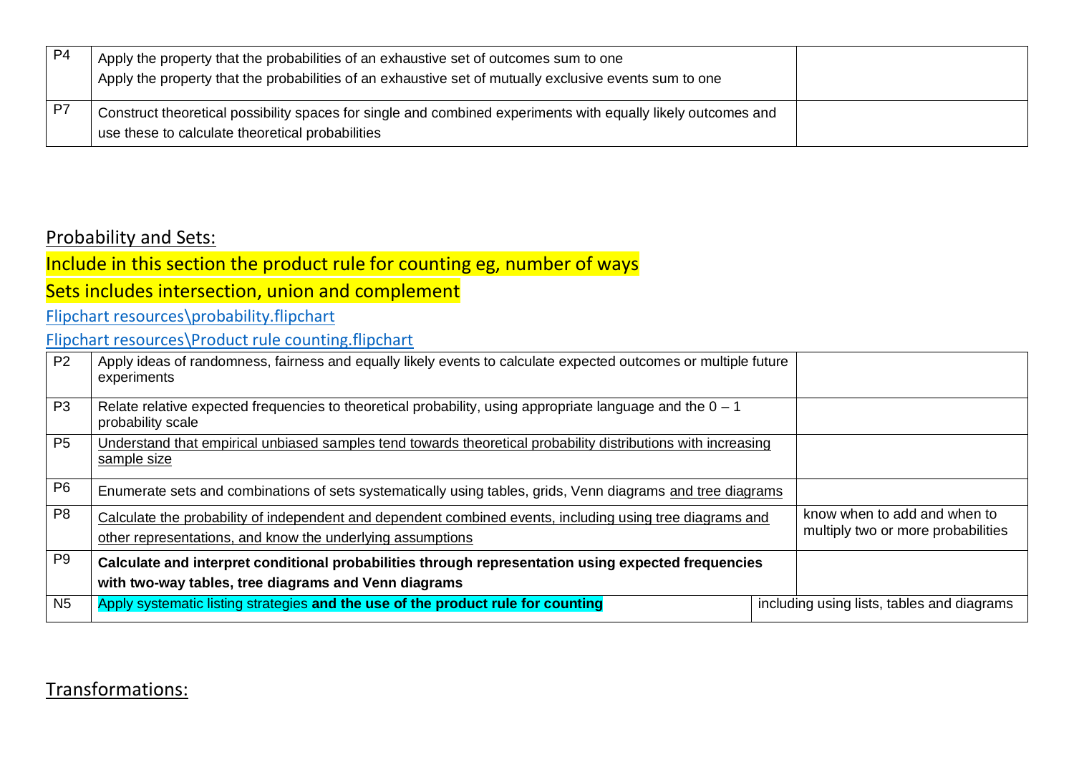| P <sub>4</sub> | Apply the property that the probabilities of an exhaustive set of outcomes sum to one<br>Apply the property that the probabilities of an exhaustive set of mutually exclusive events sum to one |  |
|----------------|-------------------------------------------------------------------------------------------------------------------------------------------------------------------------------------------------|--|
| P7             | Construct theoretical possibility spaces for single and combined experiments with equally likely outcomes and<br>use these to calculate theoretical probabilities                               |  |

### Probability and Sets:

Include in this section the product rule for counting eg, number of ways

## Sets includes intersection, union and complement

[Flipchart resources\probability.flipchart](file://///jupiter/public/Maths/Teacher/KS4%20SOW%20Years%209,%2010%20and%2011/KS4%203%20year/Flipchart%20resources/probability.flipchart)

[Flipchart resources\Product rule counting.flipchart](file://///jupiter/public/Maths/Teacher/KS4%20SOW%20Years%209,%2010%20and%2011/KS4%203%20year/Flipchart%20resources/Product%20rule%20counting.flipchart)

| P <sub>2</sub> | Apply ideas of randomness, fairness and equally likely events to calculate expected outcomes or multiple future<br>experiments                                          |  |                                                                    |
|----------------|-------------------------------------------------------------------------------------------------------------------------------------------------------------------------|--|--------------------------------------------------------------------|
| P <sub>3</sub> | Relate relative expected frequencies to theoretical probability, using appropriate language and the $0 - 1$<br>probability scale                                        |  |                                                                    |
| P <sub>5</sub> | Understand that empirical unbiased samples tend towards theoretical probability distributions with increasing<br>sample size                                            |  |                                                                    |
| P <sub>6</sub> | Enumerate sets and combinations of sets systematically using tables, grids, Venn diagrams and tree diagrams                                                             |  |                                                                    |
| P <sub>8</sub> | Calculate the probability of independent and dependent combined events, including using tree diagrams and<br>other representations, and know the underlying assumptions |  | know when to add and when to<br>multiply two or more probabilities |
| P <sub>9</sub> | Calculate and interpret conditional probabilities through representation using expected frequencies                                                                     |  |                                                                    |
|                | with two-way tables, tree diagrams and Venn diagrams                                                                                                                    |  |                                                                    |
| N <sub>5</sub> | Apply systematic listing strategies and the use of the product rule for counting                                                                                        |  | including using lists, tables and diagrams                         |

## Transformations: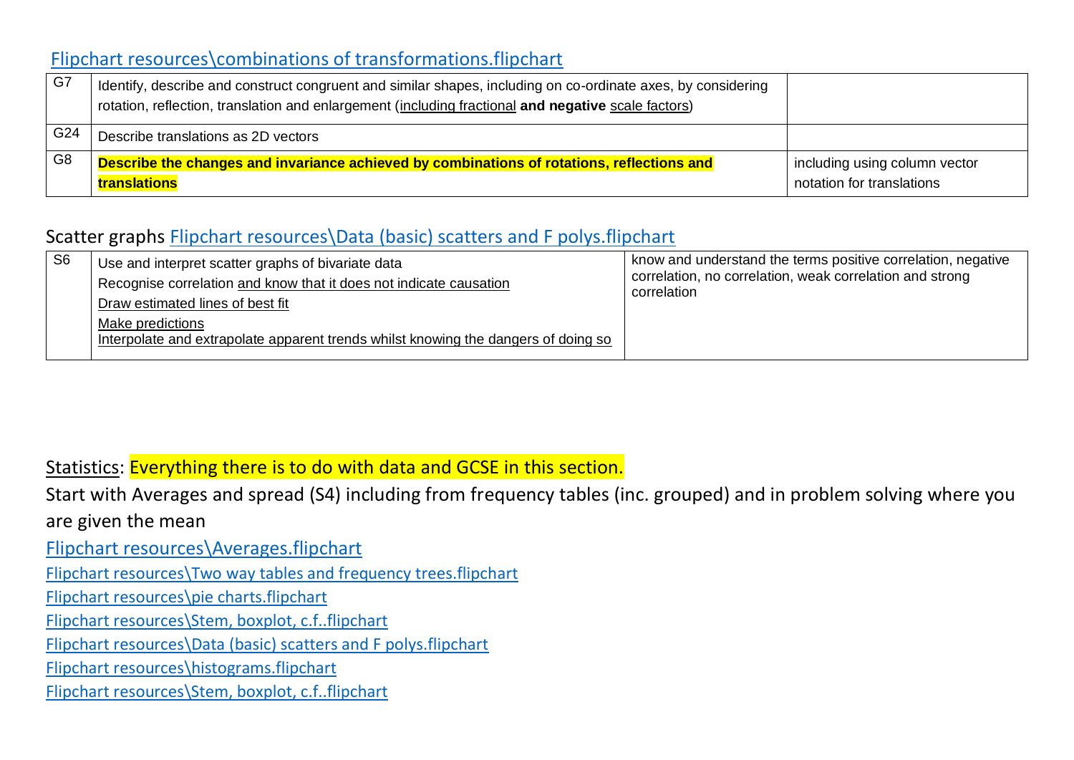### [Flipchart resources\combinations of transformations.flipchart](file://///jupiter/public/Maths/Teacher/KS4%20SOW%20Years%209,%2010%20and%2011/KS4%203%20year/Flipchart%20resources/combinations%20of%20transformations.flipchart)

| G7             | Identify, describe and construct congruent and similar shapes, including on co-ordinate axes, by considering<br>rotation, reflection, translation and enlargement (including fractional and negative scale factors) |                                                            |
|----------------|---------------------------------------------------------------------------------------------------------------------------------------------------------------------------------------------------------------------|------------------------------------------------------------|
| G24            | Describe translations as 2D vectors                                                                                                                                                                                 |                                                            |
| G <sub>8</sub> | Describe the changes and invariance achieved by combinations of rotations, reflections and<br>translations                                                                                                          | including using column vector<br>notation for translations |

## Scatter graphs **Flipchart resources\Data (basic)** scatters and F polys.flipchart

| S <sub>6</sub> | Use and interpret scatter graphs of bivariate data<br>Recognise correlation and know that it does not indicate causation<br>Draw estimated lines of best fit<br>Make predictions<br>Interpolate and extrapolate apparent trends whilst knowing the dangers of doing so | know and understand the terms positive correlation, negative<br>correlation, no correlation, weak correlation and strong<br>correlation |
|----------------|------------------------------------------------------------------------------------------------------------------------------------------------------------------------------------------------------------------------------------------------------------------------|-----------------------------------------------------------------------------------------------------------------------------------------|
|----------------|------------------------------------------------------------------------------------------------------------------------------------------------------------------------------------------------------------------------------------------------------------------------|-----------------------------------------------------------------------------------------------------------------------------------------|

### Statistics: Everything there is to do with data and GCSE in this section.

Start with Averages and spread (S4) including from frequency tables (inc. grouped) and in problem solving where you

#### are given the mean

[Flipchart resources\Averages.flipchart](file://///jupiter/public/Maths/Teacher/KS4%20SOW%20Years%209,%2010%20and%2011/KS4%203%20year/Flipchart%20resources/Averages.flipchart)

[Flipchart resources\Two way tables and frequency trees.flipchart](file://///jupiter/public/Maths/Teacher/KS4%20SOW%20Years%209,%2010%20and%2011/KS4%203%20year/Flipchart%20resources/Two%20way%20tables%20and%20frequency%20trees.flipchart)

[Flipchart resources\pie charts.flipchart](file://///jupiter/public/Maths/Teacher/KS4%20SOW%20Years%209,%2010%20and%2011/KS4%203%20year/Flipchart%20resources/pie%20charts.flipchart)

[Flipchart resources\Stem, boxplot, c.f..flipchart](file://///jupiter/public/Maths/Teacher/KS4%20SOW%20Years%209,%2010%20and%2011/KS4%203%20year/Flipchart%20resources/Stem,%20boxplot,%20c.f..flipchart)

[Flipchart resources\Data \(basic\) scatters and F polys.flipchart](file://///jupiter/public/Maths/Teacher/KS4%20SOW%20Years%209,%2010%20and%2011/KS4%203%20year/Flipchart%20resources/Data%20(basic)%20scatters%20and%20F%20polys.flipchart)

[Flipchart resources\histograms.flipchart](file://///jupiter/public/Maths/Teacher/KS4%20SOW%20Years%209,%2010%20and%2011/KS4%203%20year/Flipchart%20resources/histograms.flipchart)

[Flipchart resources\Stem, boxplot, c.f..flipchart](file://///jupiter/public/Maths/Teacher/KS4%20SOW%20Years%209,%2010%20and%2011/KS4%203%20year/Flipchart%20resources/Stem,%20boxplot,%20c.f..flipchart)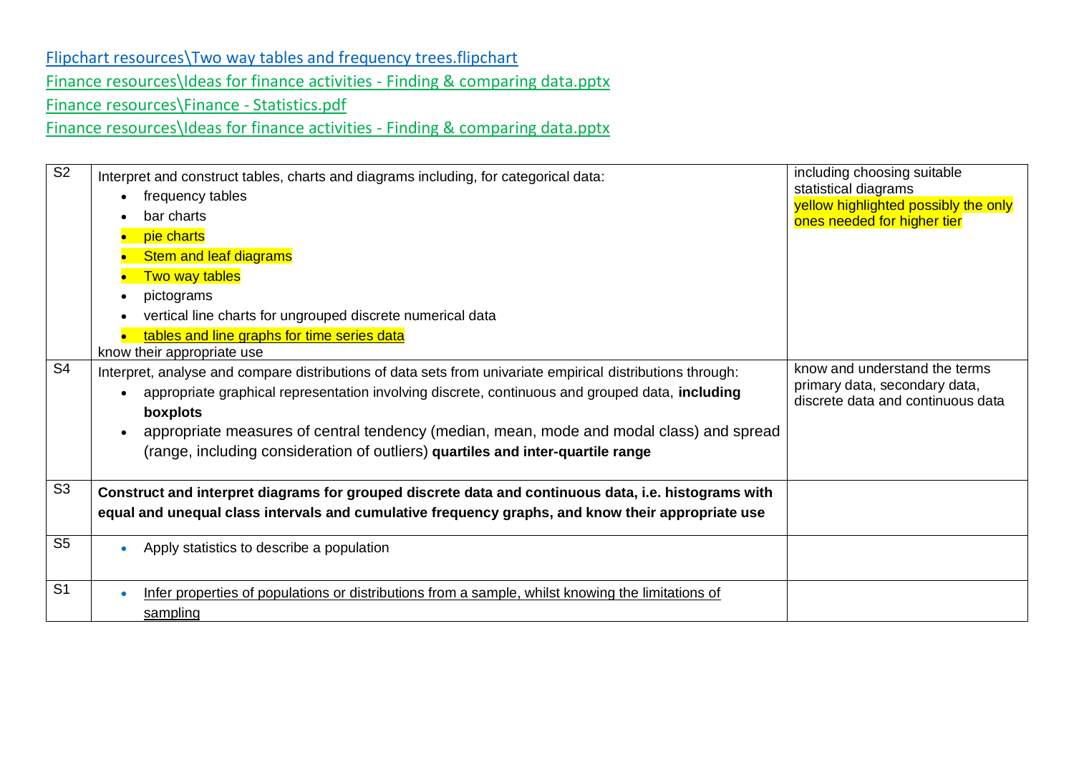### [Flipchart resources\Two way tables and frequency trees.flipchart](file://///jupiter/public/Maths/Teacher/KS4%20SOW%20Years%209,%2010%20and%2011/KS4%203%20year/Flipchart%20resources/Two%20way%20tables%20and%20frequency%20trees.flipchart) [Finance resources\Ideas for finance activities -](file://///jupiter/public/Maths/Teacher/KS4%20SOW%20Years%209,%2010%20and%2011/KS4%203%20year/Finance%20resources/Ideas%20for%20finance%20activities%20-%20Finding%20&%20comparing%20data.pptx) Finding & comparing data.pptx [Finance resources\Finance -](file://///jupiter/public/Maths/Teacher/KS4%20SOW%20Years%209,%2010%20and%2011/KS4%203%20year/Finance%20resources/Finance%20-%20Statistics.pdf) Statistics.pdf [Finance resources\Ideas for finance activities -](file://///jupiter/public/Maths/Teacher/KS4%20SOW%20Years%209,%2010%20and%2011/KS4%203%20year/Finance%20resources/Ideas%20for%20finance%20activities%20-%20Finding%20&%20comparing%20data.pptx) Finding & comparing data.pptx

S2 • Interpret and construct tables, charts and diagrams including, for categorical data: • frequency tables • bar charts • pie charts **Stem and leaf diagrams Two way tables** • pictograms • vertical line charts for ungrouped discrete numerical data • tables and line graphs for time series data know their appropriate use including choosing suitable statistical diagrams yellow highlighted possibly the only ones needed for higher tier S4 | Interpret, analyse and compare distributions of data sets from univariate empirical distributions through: • appropriate graphical representation involving discrete, continuous and grouped data, **including boxplots** • appropriate measures of central tendency (median, mean, mode and modal class) and spread (range, including consideration of outliers) **quartiles and inter-quartile range** know and understand the terms primary data, secondary data, discrete data and continuous data S3 • **Construct and interpret diagrams for grouped discrete data and continuous data, i.e. histograms with equal and unequal class intervals and cumulative frequency graphs, and know their appropriate use** S5 **• Apply statistics to describe a population** S1 **•** Infer properties of populations or distributions from a sample, whilst knowing the limitations of sampling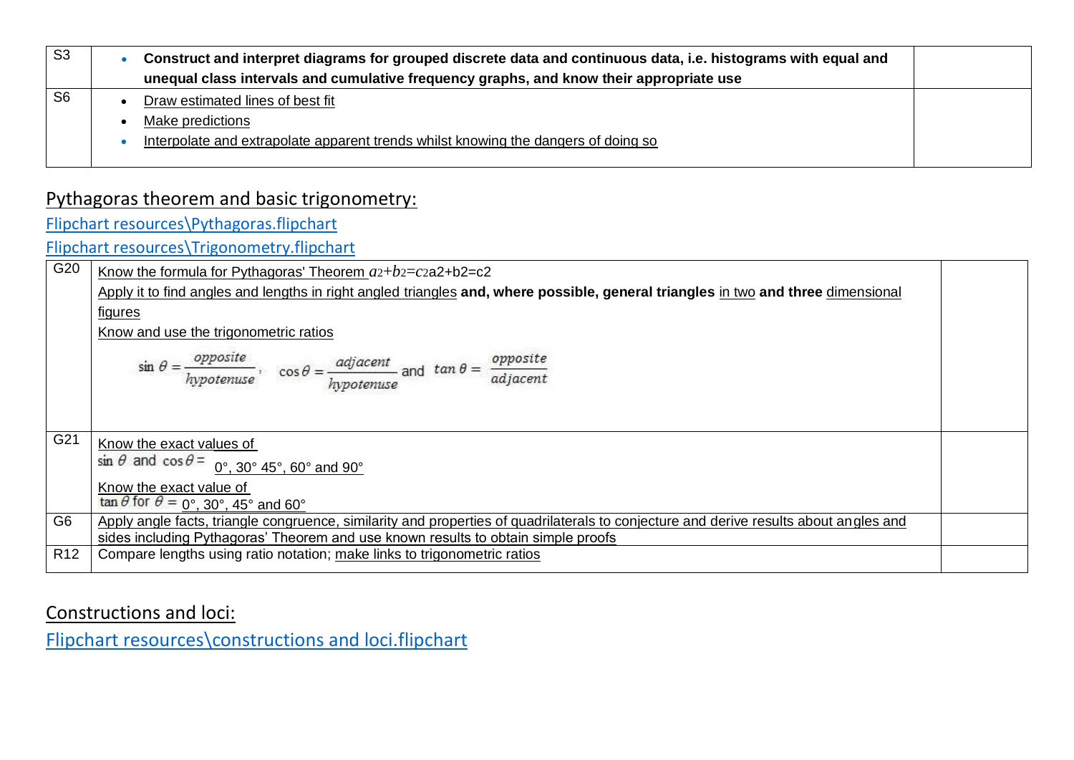| S <sub>3</sub> | Construct and interpret diagrams for grouped discrete data and continuous data, i.e. histograms with equal and<br>unequal class intervals and cumulative frequency graphs, and know their appropriate use |  |
|----------------|-----------------------------------------------------------------------------------------------------------------------------------------------------------------------------------------------------------|--|
| S <sub>6</sub> | Draw estimated lines of best fit                                                                                                                                                                          |  |
|                | Make predictions                                                                                                                                                                                          |  |
|                | Interpolate and extrapolate apparent trends whilst knowing the dangers of doing so                                                                                                                        |  |
|                |                                                                                                                                                                                                           |  |

## Pythagoras theorem and basic trigonometry:

[Flipchart resources\Pythagoras.flipchart](file://///jupiter/public/Maths/Teacher/KS4%20SOW%20Years%209,%2010%20and%2011/KS4%203%20year/Flipchart%20resources/Pythagoras.flipchart)

[Flipchart resources\Trigonometry.flipchart](file://///jupiter/public/Maths/Teacher/KS4%20SOW%20Years%209,%2010%20and%2011/KS4%203%20year/Flipchart%20resources/Trigonometry.flipchart)

| G20             | Know the formula for Pythagoras' Theorem $a2+b2=cz$ a2+b2=c2                                                                            |  |
|-----------------|-----------------------------------------------------------------------------------------------------------------------------------------|--|
|                 | Apply it to find angles and lengths in right angled triangles and, where possible, general triangles in two and three dimensional       |  |
|                 | <u>figures</u>                                                                                                                          |  |
|                 | Know and use the trigonometric ratios                                                                                                   |  |
|                 | $\sin \theta = \frac{opposite}{hypotenuse}$ , $\cos \theta = \frac{adjacent}{hypotenuse}$ and $\tan \theta = \frac{opposite}{adjacent}$ |  |
|                 |                                                                                                                                         |  |
| G21             | Know the exact values of                                                                                                                |  |
|                 | $\sin \theta$ and $\cos \theta = 0^\circ$ , 30° 45°, 60° and 90°                                                                        |  |
|                 | Know the exact value of<br>$\tan \theta$ for $\theta = 0^\circ$ , 30°, 45° and 60°                                                      |  |
| G <sub>6</sub>  | Apply angle facts, triangle congruence, similarity and properties of quadrilaterals to conjecture and derive results about angles and   |  |
|                 | sides including Pythagoras' Theorem and use known results to obtain simple proofs                                                       |  |
| R <sub>12</sub> | Compare lengths using ratio notation; make links to trigonometric ratios                                                                |  |

## Constructions and loci:

[Flipchart resources\constructions and loci.flipchart](file://///jupiter/public/Maths/Teacher/KS4%20SOW%20Years%209,%2010%20and%2011/KS4%203%20year/Flipchart%20resources/constructions%20and%20loci.flipchart)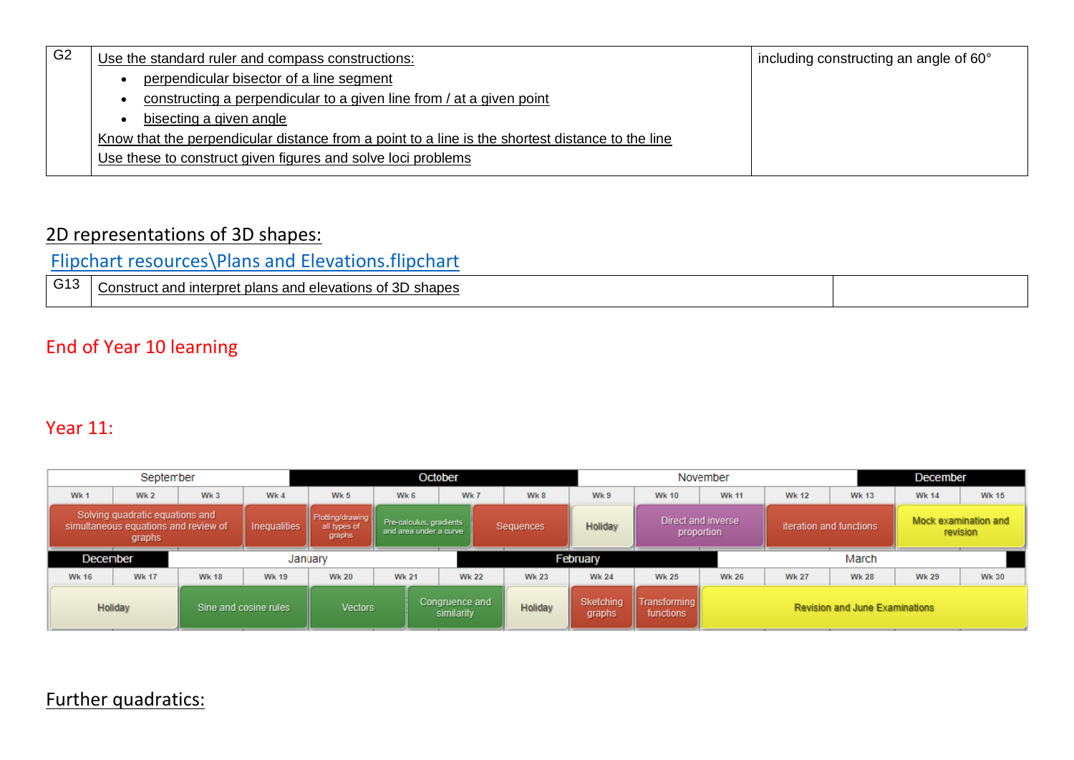| Use the standard ruler and compass constructions:                                                | including constructing an angle of 60° |
|--------------------------------------------------------------------------------------------------|----------------------------------------|
| perpendicular bisector of a line segment                                                         |                                        |
| constructing a perpendicular to a given line from / at a given point                             |                                        |
| bisecting a given angle                                                                          |                                        |
| Know that the perpendicular distance from a point to a line is the shortest distance to the line |                                        |
| Use these to construct given figures and solve loci problems                                     |                                        |
|                                                                                                  |                                        |

### 2D representations of 3D shapes:

[Flipchart resources\Plans and Elevations.flipchart](file://///jupiter/public/Maths/Teacher/KS4%20SOW%20Years%209,%2010%20and%2011/KS4%203%20year/Flipchart%20resources/Plans%20and%20Elevations.flipchart)

| $\sim$ 10<br><b>VIV</b> | of 3D<br>ำonstruct and interpre∟<br>shapes<br>; and elevations of<br>ำเวทง<br>വദ്ധ<br>ັບ<br>. . |  |
|-------------------------|-------------------------------------------------------------------------------------------------|--|
|                         |                                                                                                 |  |

## End of Year 10 learning

### Year 11:

| September                                                                         |              |                 |                                            | October                                                        |              |                              |                                  | November     |                         |                                  |              | December                         |                                       |              |              |
|-----------------------------------------------------------------------------------|--------------|-----------------|--------------------------------------------|----------------------------------------------------------------|--------------|------------------------------|----------------------------------|--------------|-------------------------|----------------------------------|--------------|----------------------------------|---------------------------------------|--------------|--------------|
| Wk 1                                                                              | Wk 2         | Wk <sub>3</sub> | Wk 4                                       | Wk 5                                                           | Wk 6         |                              | Wk 7                             | Wk 8         | Wk 9                    | <b>Wk 10</b>                     | <b>Wk 11</b> | <b>Wk 12</b>                     | <b>Wk 13</b>                          | <b>Wk 14</b> | <b>Wk 15</b> |
| Solving quadratic equations and<br>simultaneous equations and review of<br>graphs |              | Inequalities    | Plotting/drawing<br>all types of<br>graphs | Pre-calculus, gradients<br>Sequences<br>and area under a curve |              | Holiday                      | Direct and inverse<br>proportion |              | iteration and functions |                                  |              | Mock examination and<br>revision |                                       |              |              |
| December                                                                          |              | January         |                                            |                                                                |              |                              |                                  | February     |                         |                                  |              | March                            |                                       |              |              |
| <b>Wk 16</b>                                                                      | <b>Wk 17</b> | <b>Wk 18</b>    | <b>Wk 19</b>                               | <b>Wk 20</b>                                                   | <b>Wk 21</b> |                              | <b>Wk 22</b>                     | <b>Wk 23</b> | <b>Wk 24</b>            | <b>Wk 25</b>                     | <b>Wk 26</b> | <b>Wk 27</b>                     | <b>Wk 28</b>                          | <b>Wk 29</b> | <b>Wk 30</b> |
| Holiday                                                                           |              |                 | Sine and cosine rules                      | <b>Vectors</b>                                                 |              | Congruence and<br>similarity |                                  | Holiday      | Sketching<br>graphs     | <b>Transforming</b><br>functions |              |                                  | <b>Revision and June Examinations</b> |              |              |

## Further quadratics: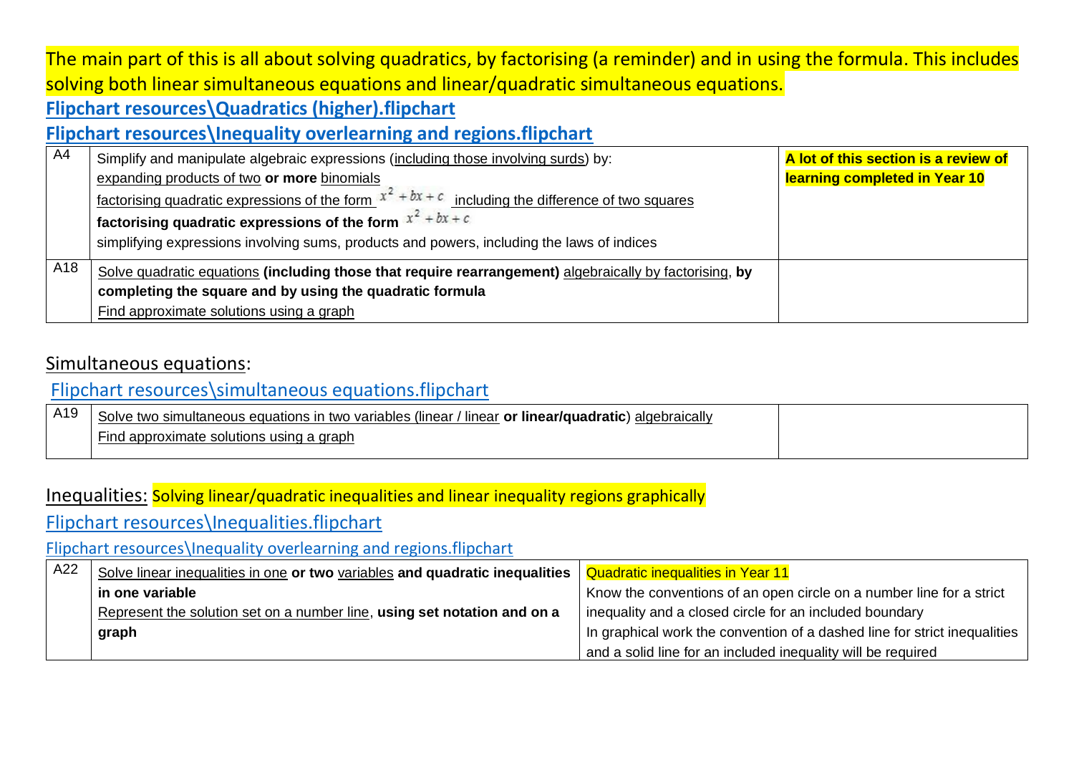# The main part of this is all about solving quadratics, by factorising (a reminder) and in using the formula. This includes solving both linear simultaneous equations and linear/quadratic simultaneous equations.

## **[Flipchart resources\Quadratics \(higher\).flipchart](file://///jupiter/public/Maths/Teacher/KS4%20SOW%20Years%209,%2010%20and%2011/KS4%203%20year/Flipchart%20resources/Quadratics%20(higher).flipchart)**

### **[Flipchart resources\Inequality overlearning and regions.flipchart](file://///jupiter/public/Maths/Teacher/KS4%20SOW%20Years%209,%2010%20and%2011/KS4%203%20year/Flipchart%20resources/Inequality%20overlearning%20and%20regions.flipchart)**

| A4  | Simplify and manipulate algebraic expressions (including those involving surds) by:                     | A lot of this section is a review of |
|-----|---------------------------------------------------------------------------------------------------------|--------------------------------------|
|     | expanding products of two or more binomials                                                             | learning completed in Year 10        |
|     | factorising quadratic expressions of the form $x^2 + bx + c$ including the difference of two squares    |                                      |
|     | $^{\prime}$ factorising quadratic expressions of the form $\frac{x^2 + bx + c}{x}$                      |                                      |
|     | simplifying expressions involving sums, products and powers, including the laws of indices              |                                      |
| A18 | Solve quadratic equations (including those that require rearrangement) algebraically by factorising, by |                                      |
|     | completing the square and by using the quadratic formula                                                |                                      |
|     | Find approximate solutions using a graph                                                                |                                      |

### Simultaneous equations:

### [Flipchart resources\simultaneous equations.flipchart](file://///jupiter/public/Maths/Teacher/KS4%20SOW%20Years%209,%2010%20and%2011/KS4%203%20year/Flipchart%20resources/simultaneous%20equations.flipchart)

| A19 | Solve two simultaneous equations in two variables (linear /<br>Inear or linear/quadratic)<br>algebraically |  |
|-----|------------------------------------------------------------------------------------------------------------|--|
|     | Find approximate solutions using $\epsilon$<br>⊦a graph                                                    |  |

#### Inequalities: Solving linear/quadratic inequalities and linear inequality regions graphically

[Flipchart resources\Inequalities.flipchart](file://///jupiter/public/Maths/Teacher/KS4%20SOW%20Years%209,%2010%20and%2011/KS4%203%20year/Flipchart%20resources/Inequalities.flipchart)

[Flipchart resources\Inequality overlearning and regions.flipchart](file://///jupiter/public/Maths/Teacher/KS4%20SOW%20Years%209,%2010%20and%2011/KS4%203%20year/Flipchart%20resources/Inequality%20overlearning%20and%20regions.flipchart)

| A22 | Solve linear inequalities in one or two variables and quadratic inequalities   Quadratic inequalities in Year 11 |                                                                           |
|-----|------------------------------------------------------------------------------------------------------------------|---------------------------------------------------------------------------|
|     | in one variable                                                                                                  | Know the conventions of an open circle on a number line for a strict      |
|     | Represent the solution set on a number line, using set notation and on a                                         | inequality and a closed circle for an included boundary                   |
|     | graph                                                                                                            | In graphical work the convention of a dashed line for strict inequalities |
|     |                                                                                                                  | and a solid line for an included inequality will be required              |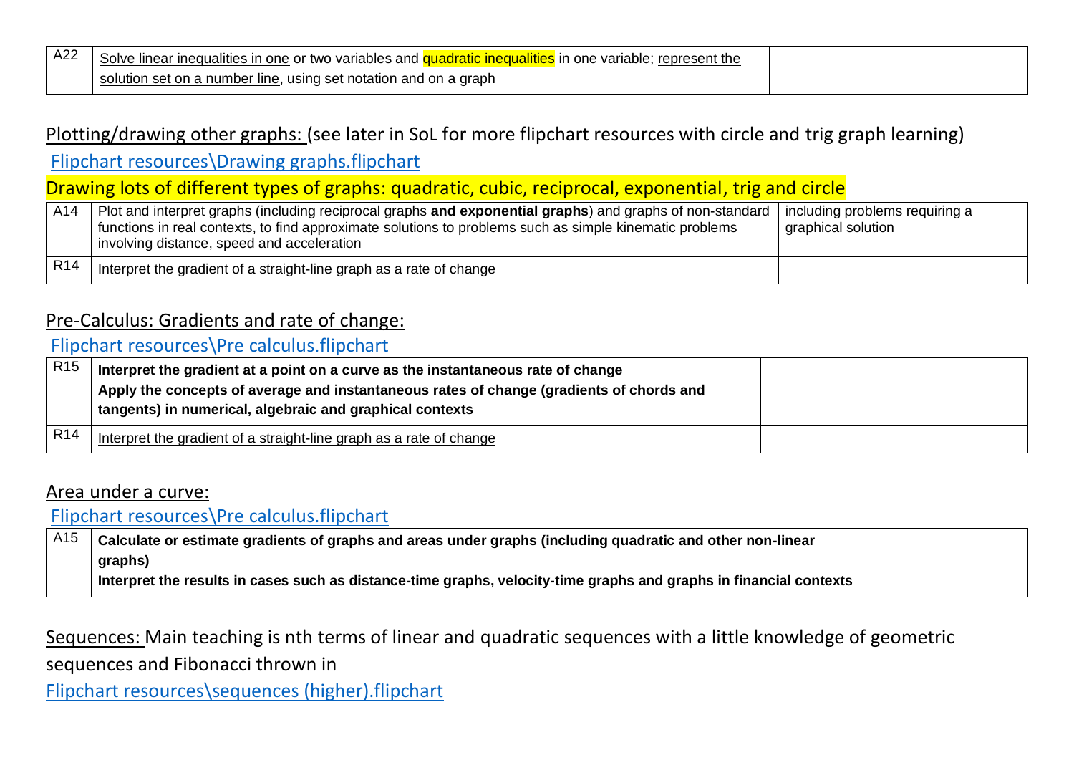| A22 | Solve linear inequalities in one or two variables and quadratic inequalities in one variable: represent<br>t the |  |
|-----|------------------------------------------------------------------------------------------------------------------|--|
|     | $\alpha$ set on a number line, using set notation and on a graph<br>solution                                     |  |

### Plotting/drawing other graphs: (see later in SoL for more flipchart resources with circle and trig graph learning)

[Flipchart resources\Drawing graphs.flipchart](file://///jupiter/public/Maths/Teacher/KS4%20SOW%20Years%209,%2010%20and%2011/KS4%203%20year/Flipchart%20resources/Drawing%20graphs.flipchart)

## Drawing lots of different types of graphs: quadratic, cubic, reciprocal, exponential, trig and circle

| A14             | Plot and interpret graphs (including reciprocal graphs and exponential graphs) and graphs of non-standard   including problems requiring a<br>functions in real contexts, to find approximate solutions to problems such as simple kinematic problems<br>I involving distance, speed and acceleration | graphical solution |
|-----------------|-------------------------------------------------------------------------------------------------------------------------------------------------------------------------------------------------------------------------------------------------------------------------------------------------------|--------------------|
| R <sub>14</sub> | Interpret the gradient of a straight-line graph as a rate of change                                                                                                                                                                                                                                   |                    |

#### Pre-Calculus: Gradients and rate of change:

#### [Flipchart resources\Pre calculus.flipchart](file://///jupiter/public/Maths/Teacher/KS4%20SOW%20Years%209,%2010%20and%2011/KS4%203%20year/Flipchart%20resources/Pre%20calculus.flipchart)

| R <sub>15</sub> | Interpret the gradient at a point on a curve as the instantaneous rate of change<br>Apply the concepts of average and instantaneous rates of change (gradients of chords and<br>tangents) in numerical, algebraic and graphical contexts |  |
|-----------------|------------------------------------------------------------------------------------------------------------------------------------------------------------------------------------------------------------------------------------------|--|
| R <sub>14</sub> | Interpret the gradient of a straight-line graph as a rate of change                                                                                                                                                                      |  |

#### Area under a curve:

### [Flipchart resources\Pre calculus.flipchart](file://///jupiter/public/Maths/Teacher/KS4%20SOW%20Years%209,%2010%20and%2011/KS4%203%20year/Flipchart%20resources/Pre%20calculus.flipchart)

| A15 | Calculate or estimate gradients of graphs and areas under graphs (including quadratic and other non-linear         |  |
|-----|--------------------------------------------------------------------------------------------------------------------|--|
|     | graphs)                                                                                                            |  |
|     | Interpret the results in cases such as distance-time graphs, velocity-time graphs and graphs in financial contexts |  |

Sequences: Main teaching is nth terms of linear and quadratic sequences with a little knowledge of geometric sequences and Fibonacci thrown in

[Flipchart resources\sequences \(higher\).flipchart](file://///jupiter/public/Maths/Teacher/KS4%20SOW%20Years%209,%2010%20and%2011/KS4%203%20year/Flipchart%20resources/sequences%20(higher).flipchart)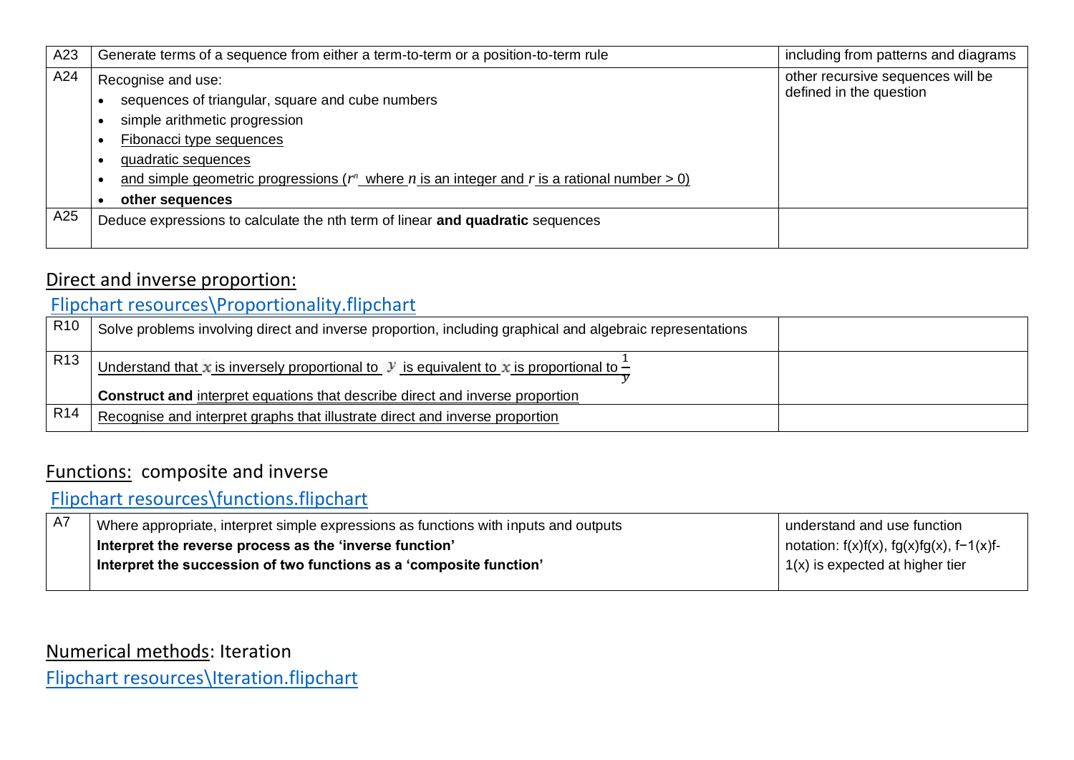| A23 | Generate terms of a sequence from either a term-to-term or a position-to-term rule                                                                                                                                                                                               | including from patterns and diagrams                         |
|-----|----------------------------------------------------------------------------------------------------------------------------------------------------------------------------------------------------------------------------------------------------------------------------------|--------------------------------------------------------------|
| A24 | Recognise and use:<br>sequences of triangular, square and cube numbers<br>simple arithmetic progression<br>Fibonacci type sequences<br>quadratic sequences<br>and simple geometric progressions ( $r^n$ where n is an integer and r is a rational number > 0)<br>other sequences | other recursive sequences will be<br>defined in the question |
| A25 | Deduce expressions to calculate the nth term of linear and quadratic sequences                                                                                                                                                                                                   |                                                              |

### Direct and inverse proportion:

# [Flipchart resources\Proportionality.flipchart](file://///jupiter/public/Maths/Teacher/KS4%20SOW%20Years%209,%2010%20and%2011/KS4%203%20year/Flipchart%20resources/Proportionality.flipchart)

| <b>R10</b>      | Solve problems involving direct and inverse proportion, including graphical and algebraic representations              |  |
|-----------------|------------------------------------------------------------------------------------------------------------------------|--|
| R13             | <u>Understand that x is inversely proportional to y is equivalent to x is proportional to <math>\frac{1}{x}</math></u> |  |
|                 | <b>Construct and interpret equations that describe direct and inverse proportion</b>                                   |  |
| R <sub>14</sub> | Recognise and interpret graphs that illustrate direct and inverse proportion                                           |  |

## Functions: composite and inverse

## [Flipchart resources\functions.flipchart](file://///jupiter/public/Maths/Teacher/KS4%20SOW%20Years%209,%2010%20and%2011/KS4%203%20year/Flipchart%20resources/functions.flipchart)

| . A7 | Where appropriate, interpret simple expressions as functions with inputs and outputs | I understand and use function                    |
|------|--------------------------------------------------------------------------------------|--------------------------------------------------|
|      | I Interpret the reverse process as the 'inverse function'                            | notation: $f(x)f(x)$ , $fg(x)fg(x)$ , $f-1(x)f-$ |
|      | Interpret the succession of two functions as a 'composite function'                  | $\vert$ 1(x) is expected at higher tier          |
|      |                                                                                      |                                                  |

Numerical methods: Iteration

[Flipchart resources\Iteration.flipchart](file://///jupiter/public/Maths/Teacher/KS4%20SOW%20Years%209,%2010%20and%2011/KS4%203%20year/Flipchart%20resources/Iteration.flipchart)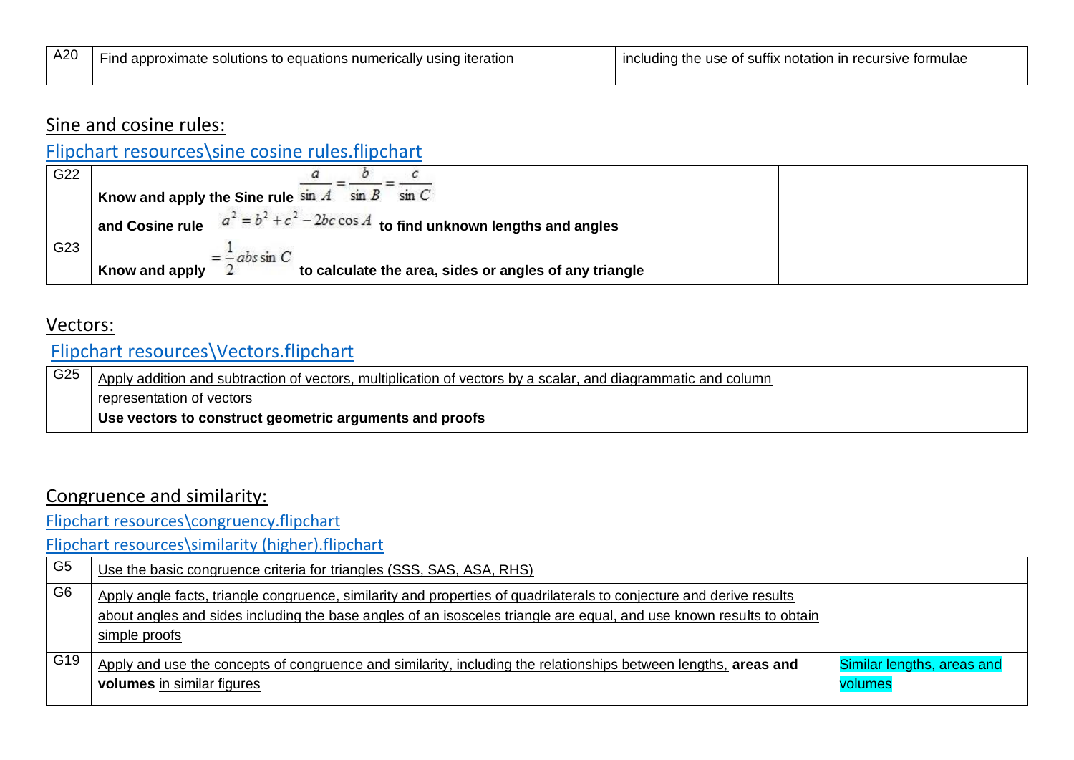| A20 | , to equations numerically<br>usınc<br>∟iteratior<br>solutions<br>∙ına<br>approximate | ve tormulae<br>∍of suffix<br>: notation<br>use<br><b>INC</b><br>udina<br>recursiv<br>the |
|-----|---------------------------------------------------------------------------------------|------------------------------------------------------------------------------------------|
|     |                                                                                       |                                                                                          |

### Sine and cosine rules:

## [Flipchart resources\sine cosine rules.flipchart](file://///jupiter/public/Maths/Teacher/KS4%20SOW%20Years%209,%2010%20and%2011/KS4%203%20year/Flipchart%20resources/sine%20cosine%20rules.flipchart)

| G22 |                                                                                   |  |
|-----|-----------------------------------------------------------------------------------|--|
|     | Know and apply the Sine rule $\sin A$ sin $B$ sin $C$                             |  |
|     | and Cosine rule $a^2 = b^2 + c^2 - 2bc \cos A$ to find unknown lengths and angles |  |
| G23 | $= -ab \sin C$                                                                    |  |
|     | Know and apply<br>to calculate the area, sides or angles of any triangle          |  |

### Vectors:

## [Flipchart resources\Vectors.flipchart](file://///jupiter/public/Maths/Teacher/KS4%20SOW%20Years%209,%2010%20and%2011/KS4%203%20year/Flipchart%20resources/Vectors.flipchart)

| $\sqrt{G25}$ | Apply addition and subtraction of vectors, multiplication of vectors by a scalar, and diagrammatic and column |  |
|--------------|---------------------------------------------------------------------------------------------------------------|--|
|              | representation of vectors                                                                                     |  |
|              | Use vectors to construct geometric arguments and proofs                                                       |  |

### Congruence and similarity:

[Flipchart resources\congruency.flipchart](file://///jupiter/public/Maths/Teacher/KS4%20SOW%20Years%209,%2010%20and%2011/KS4%203%20year/Flipchart%20resources/congruency.flipchart)

[Flipchart resources\similarity \(higher\).flipchart](file://///jupiter/public/Maths/Teacher/KS4%20SOW%20Years%209,%2010%20and%2011/KS4%203%20year/Flipchart%20resources/similarity%20(higher).flipchart)

| G <sub>5</sub>  | Use the basic congruence criteria for triangles (SSS, SAS, ASA, RHS)                                                                                                                                                                                          |                                       |
|-----------------|---------------------------------------------------------------------------------------------------------------------------------------------------------------------------------------------------------------------------------------------------------------|---------------------------------------|
| G <sub>6</sub>  | Apply angle facts, triangle congruence, similarity and properties of quadrilaterals to conjecture and derive results<br>about angles and sides including the base angles of an isosceles triangle are equal, and use known results to obtain<br>simple proofs |                                       |
| G <sub>19</sub> | Apply and use the concepts of congruence and similarity, including the relationships between lengths, areas and<br>volumes in similar figures                                                                                                                 | Similar lengths, areas and<br>volumes |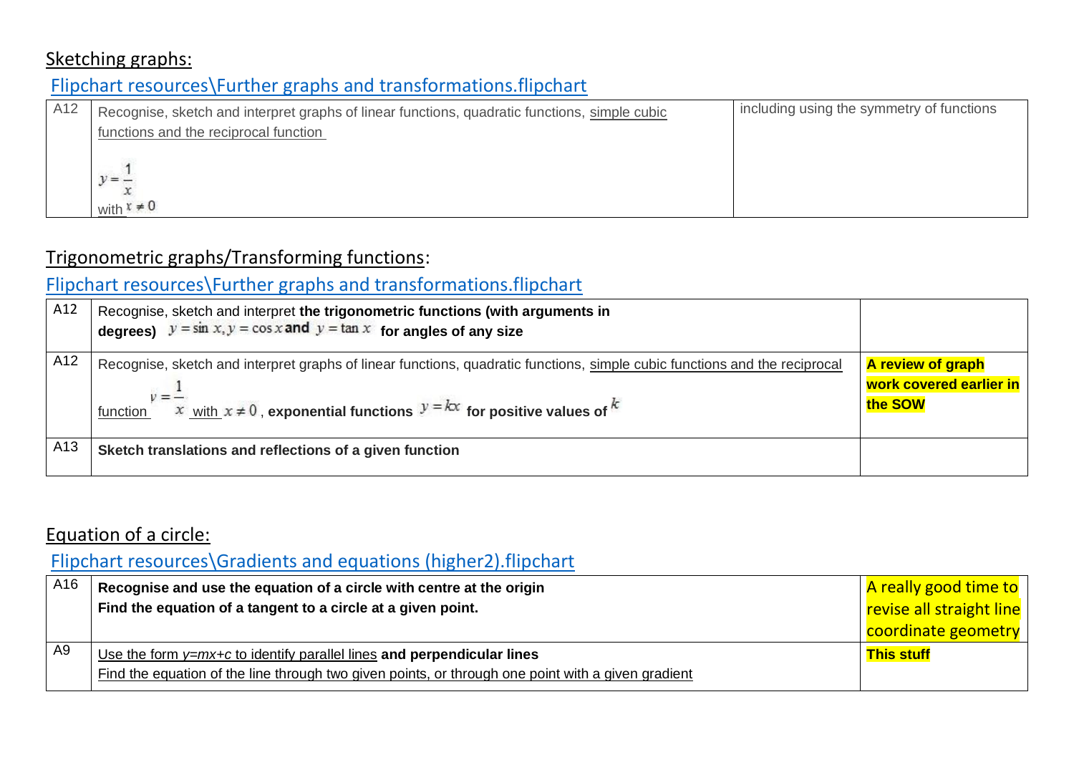### Sketching graphs:

# [Flipchart resources\Further graphs and transformations.flipchart](file://///jupiter/public/Maths/Teacher/KS4%20SOW%20Years%209,%2010%20and%2011/KS4%203%20year/Flipchart%20resources/Further%20graphs%20and%20transformations.flipchart)

| A <sub>12</sub> | Recognise, sketch and interpret graphs of linear functions, quadratic functions, simple cubic<br>functions and the reciprocal function | including using the symmetry of functions |
|-----------------|----------------------------------------------------------------------------------------------------------------------------------------|-------------------------------------------|
|                 | $v = -$<br>with $x \neq 0$                                                                                                             |                                           |

## Trigonometric graphs/Transforming functions:

# [Flipchart resources\Further graphs and transformations.flipchart](file://///jupiter/public/Maths/Teacher/KS4%20SOW%20Years%209,%2010%20and%2011/KS4%203%20year/Flipchart%20resources/Further%20graphs%20and%20transformations.flipchart)

| A12 | Recognise, sketch and interpret the trigonometric functions (with arguments in<br>degrees) $y = \sin x, y = \cos x$ and $y = \tan x$ for angles of any size                                                               |                                                                |
|-----|---------------------------------------------------------------------------------------------------------------------------------------------------------------------------------------------------------------------------|----------------------------------------------------------------|
| A12 | Recognise, sketch and interpret graphs of linear functions, quadratic functions, simple cubic functions and the reciprocal<br>function $x = x$ with $x \ne 0$ , exponential functions $y = kx$ for positive values of $k$ | <b>A review of graph</b><br>work covered earlier in<br>the SOW |
| A13 | Sketch translations and reflections of a given function                                                                                                                                                                   |                                                                |

## Equation of a circle:

# [Flipchart resources\Gradients and equations \(higher2\).flipchart](file://///jupiter/public/Maths/Teacher/KS4%20SOW%20Years%209,%2010%20and%2011/KS4%203%20year/Flipchart%20resources/Gradients%20and%20equations%20(higher2).flipchart)

| A16 | Recognise and use the equation of a circle with centre at the origin<br>Find the equation of a tangent to a circle at a given point.                                           | <mark>A really good time to</mark><br>revise all straight line |
|-----|--------------------------------------------------------------------------------------------------------------------------------------------------------------------------------|----------------------------------------------------------------|
|     |                                                                                                                                                                                | coordinate geometry                                            |
| A9  | Use the form $y=mx+c$ to identify parallel lines and perpendicular lines<br>Find the equation of the line through two given points, or through one point with a given gradient | <b>This stuff</b>                                              |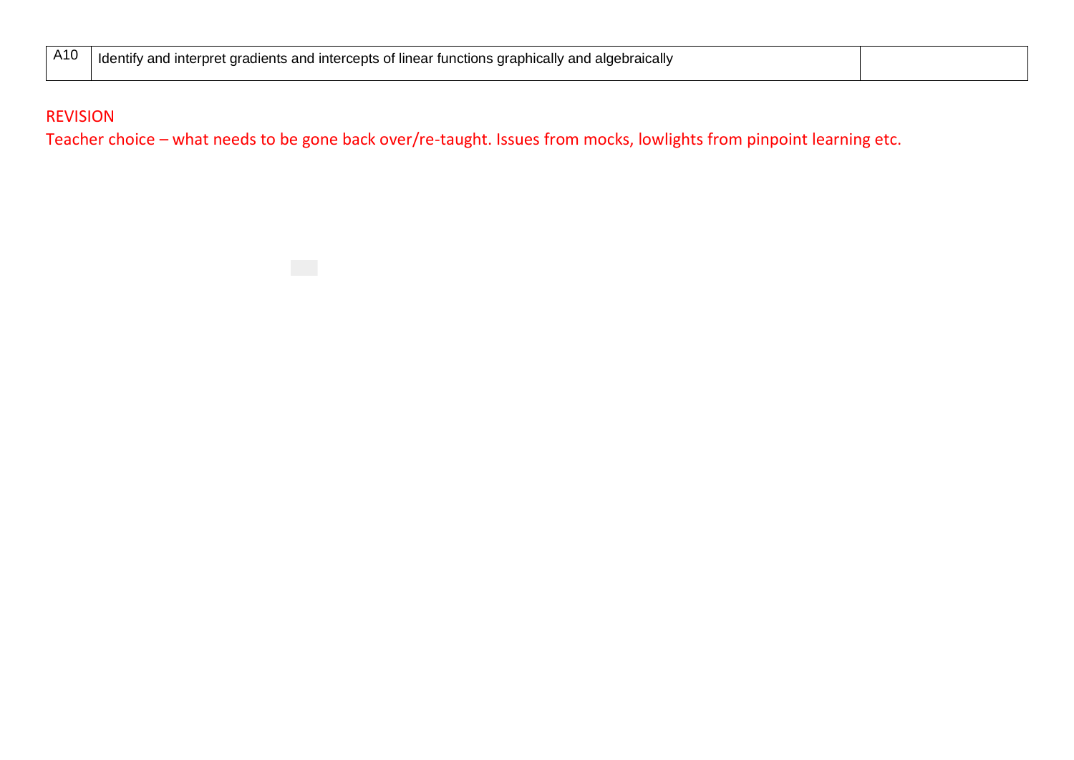| A10 | 'aebraically<br>Tdentify<br><sup>r</sup> functions draphically<br>ntercepts of linear<br>nterpret<br>idlents and<br>: ara<br>ano<br>an<br>. . |  |
|-----|-----------------------------------------------------------------------------------------------------------------------------------------------|--|
|     |                                                                                                                                               |  |

#### REVISION

Teacher choice – what needs to be gone back over/re-taught. Issues from mocks, lowlights from pinpoint learning etc.